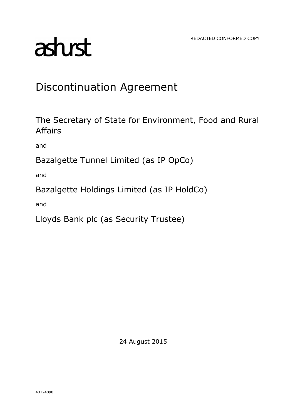REDACTED CONFORMED COPY

# asturst

## Discontinuation Agreement

The Secretary of State for Environment, Food and Rural Affairs

and

Bazalgette Tunnel Limited (as IP OpCo)

and

Bazalgette Holdings Limited (as IP HoldCo)

and

Lloyds Bank plc (as Security Trustee)

24 August 2015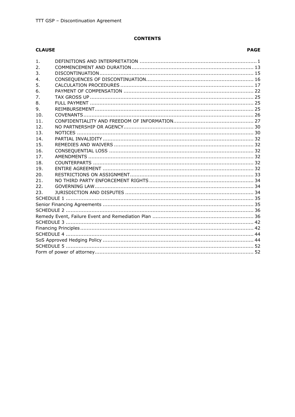#### **CONTENTS**

#### **CLAUSE**

#### **PAGE**

| 1.               |  |  |  |  |  |
|------------------|--|--|--|--|--|
| $\overline{2}$ . |  |  |  |  |  |
| 3.               |  |  |  |  |  |
| 4.               |  |  |  |  |  |
| 5.               |  |  |  |  |  |
| 6.               |  |  |  |  |  |
| 7.               |  |  |  |  |  |
| 8.               |  |  |  |  |  |
| 9.               |  |  |  |  |  |
| 10.              |  |  |  |  |  |
| 11.              |  |  |  |  |  |
| 12.              |  |  |  |  |  |
| 13.              |  |  |  |  |  |
| 14.              |  |  |  |  |  |
| 15.              |  |  |  |  |  |
| 16.              |  |  |  |  |  |
| 17 <sub>1</sub>  |  |  |  |  |  |
| 18.              |  |  |  |  |  |
| 19.              |  |  |  |  |  |
| 20.              |  |  |  |  |  |
| 21.              |  |  |  |  |  |
| 22.              |  |  |  |  |  |
| 23.              |  |  |  |  |  |
|                  |  |  |  |  |  |
|                  |  |  |  |  |  |
|                  |  |  |  |  |  |
|                  |  |  |  |  |  |
|                  |  |  |  |  |  |
|                  |  |  |  |  |  |
|                  |  |  |  |  |  |
|                  |  |  |  |  |  |
|                  |  |  |  |  |  |
|                  |  |  |  |  |  |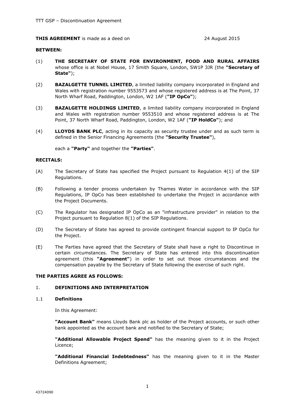#### **THIS AGREEMENT** is made as a deed on 24 August 2015

#### **BETWEEN:**

- (1) **THE SECRETARY OF STATE FOR ENVIRONMENT, FOOD AND RURAL AFFAIRS** whose office is at Nobel House, 17 Smith Square, London, SW1P 3JR (the **"Secretary of State"**);
- (2) **BAZALGETTE TUNNEL LIMITED**, a limited liability company incorporated in England and Wales with registration number 9553573 and whose registered address is at The Point, 37 North Wharf Road, Paddington, London, W2 1AF (**"IP OpCo"**);
- (3) **BAZALGETTE HOLDINGS LIMITED**, a limited liability company incorporated in England and Wales with registration number 9553510 and whose registered address is at The Point, 37 North Wharf Road, Paddington, London, W2 1AF (**"IP HoldCo"**); and
- (4) **LLOYDS BANK PLC**, acting in its capacity as security trustee under and as such term is defined in the Senior Financing Agreements (the **"Security Trustee"**),

each a **"Party"** and together the **"Parties"**.

#### **RECITALS:**

- (A) The Secretary of State has specified the Project pursuant to Regulation 4(1) of the SIP Regulations.
- (B) Following a tender process undertaken by Thames Water in accordance with the SIP Regulations, IP OpCo has been established to undertake the Project in accordance with the Project Documents.
- (C) The Regulator has designated IP OpCo as an "infrastructure provider" in relation to the Project pursuant to Regulation 8(1) of the SIP Regulations.
- (D) The Secretary of State has agreed to provide contingent financial support to IP OpCo for the Project.
- (E) The Parties have agreed that the Secretary of State shall have a right to Discontinue in certain circumstances. The Secretary of State has entered into this discontinuation agreement (this **"Agreement"**) in order to set out those circumstances and the compensation payable by the Secretary of State following the exercise of such right.

#### **THE PARTIES AGREE AS FOLLOWS:**

#### 1. **DEFINITIONS AND INTERPRETATION**

#### 1.1 **Definitions**

In this Agreement:

**"Account Bank"** means Lloyds Bank plc as holder of the Project accounts, or such other bank appointed as the account bank and notified to the Secretary of State;

**"Additional Allowable Project Spend"** has the meaning given to it in the Project Licence;

**"Additional Financial Indebtedness"** has the meaning given to it in the Master Definitions Agreement;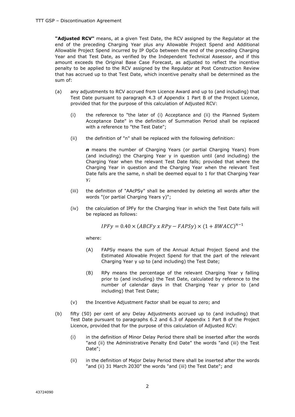**"Adjusted RCV"** means, at a given Test Date, the RCV assigned by the Regulator at the end of the preceding Charging Year plus any Allowable Project Spend and Additional Allowable Project Spend incurred by IP OpCo between the end of the preceding Charging Year and that Test Date, as verified by the Independent Technical Assessor, and if this amount exceeds the Original Base Case Forecast, as adjusted to reflect the incentive penalty to be applied to the RCV assigned by the Regulator at Post Construction Review that has accrued up to that Test Date, which incentive penalty shall be determined as the sum of:

- (a) any adjustments to RCV accrued from Licence Award and up to (and including) that Test Date pursuant to paragraph 4.3 of Appendix 1 Part B of the Project Licence, provided that for the purpose of this calculation of Adjusted RCV:
	- (i) the reference to "the later of (i) Acceptance and (ii) the Planned System Acceptance Date" in the definition of Summation Period shall be replaced with a reference to "the Test Date";
	- (ii) the definition of "n" shall be replaced with the following definition:

*n* means the number of Charging Years (or partial Charging Years) from (and including) the Charging Year y in question until (and including) the Charging Year when the relevant Test Date falls; provided that where the Charging Year in question and the Charging Year when the relevant Test Date falls are the same, n shall be deemed equal to 1 for that Charging Year y;

- (iii) the definition of "AAcPSy" shall be amended by deleting all words after the words "(or partial Charging Years y)";
- (iv) the calculation of IPFy for the Charging Year in which the Test Date falls will be replaced as follows:

$$
IPFy = 0.40 \times (ABCFy \times RPy - FAPSy) \times (1 + BWACC)^{n-1}
$$

where:

- (A) FAPSy means the sum of the Annual Actual Project Spend and the Estimated Allowable Project Spend for that the part of the relevant Charging Year y up to (and including) the Test Date;
- (B) RPy means the percentage of the relevant Charging Year y falling prior to (and including) the Test Date, calculated by reference to the number of calendar days in that Charging Year y prior to (and including) that Test Date;
- (v) the Incentive Adjustment Factor shall be equal to zero; and
- (b) fifty (50) per cent of any Delay Adjustments accrued up to (and including) that Test Date pursuant to paragraphs 6.2 and 6.3 of Appendix 1 Part B of the Project Licence, provided that for the purpose of this calculation of Adjusted RCV:
	- (i) in the definition of Minor Delay Period there shall be inserted after the words "and (ii) the Administrative Penalty End Date" the words "and (iii) the Test Date";
	- (ii) in the definition of Major Delay Period there shall be inserted after the words "and (ii) 31 March 2030" the words "and (iii) the Test Date"; and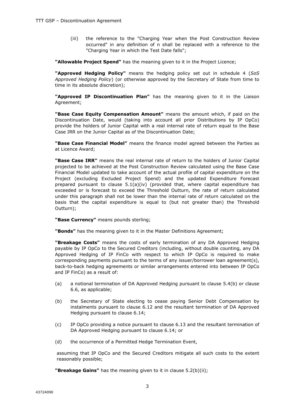(iii) the reference to the "Charging Year when the Post Construction Review occurred" in any definition of n shall be replaced with a reference to the "Charging Year in which the Test Date falls";

**"Allowable Project Spend"** has the meaning given to it in the Project Licence;

**"Approved Hedging Policy"** means the hedging policy set out in schedule 4 (*SoS Approved Hedging Policy*) (or otherwise approved by the Secretary of State from time to time in its absolute discretion);

**"Approved IP Discontinuation Plan"** has the meaning given to it in the Liaison Agreement;

**"Base Case Equity Compensation Amount"** means the amount which, if paid on the Discontinuation Date, would (taking into account all prior Distributions by IP OpCo) provide the holders of Junior Capital with a real internal rate of return equal to the Base Case IRR on the Junior Capital as of the Discontinuation Date;

**"Base Case Financial Model"** means the finance model agreed between the Parties as at Licence Award;

**"Base Case IRR"** means the real internal rate of return to the holders of Junior Capital projected to be achieved at the Post Construction Review calculated using the Base Case Financial Model updated to take account of the actual profile of capital expenditure on the Project (excluding Excluded Project Spend) and the updated Expenditure Forecast prepared pursuant to clause  $5.1(a)(iv)$  (provided that, where capital expenditure has exceeded or is forecast to exceed the Threshold Outturn, the rate of return calculated under this paragraph shall not be lower than the internal rate of return calculated on the basis that the capital expenditure is equal to (but not greater than) the Threshold Outturn);

**"Base Currency"** means pounds sterling;

**"Bonds"** has the meaning given to it in the Master Definitions Agreement;

**"Breakage Costs"** means the costs of early termination of any DA Approved Hedging payable by IP OpCo to the Secured Creditors (including, without double counting, any DA Approved Hedging of IP FinCo with respect to which IP OpCo is required to make corresponding payments pursuant to the terms of any issuer/borrower loan agreement(s), back-to-back hedging agreements or similar arrangements entered into between IP OpCo and IP FinCo) as a result of:

- (a) a notional termination of DA Approved Hedging pursuant to clause 5.4(b) or clause 6.6, as applicable;
- (b) the Secretary of State electing to cease paying Senior Debt Compensation by instalments pursuant to clause 6.12 and the resultant termination of DA Approved Hedging pursuant to clause 6.14;
- (c) IP OpCo providing a notice pursuant to clause 6.13 and the resultant termination of DA Approved Hedging pursuant to clause 6.14; or
- (d) the occurrence of a Permitted Hedge Termination Event,

assuming that IP OpCo and the Secured Creditors mitigate all such costs to the extent reasonably possible;

**"Breakage Gains"** has the meaning given to it in clause 5.2(b)(ii);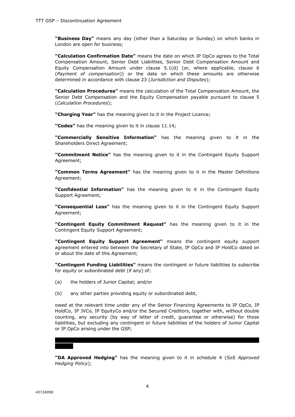**"Business Day"** means any day (other than a Saturday or Sunday) on which banks in London are open for business;

**"Calculation Confirmation Date"** means the date on which IP OpCo agrees to the Total Compensation Amount, Senior Debt Liabilities, Senior Debt Compensation Amount and Equity Compensation Amount under clause 5.1(d) (or, where applicable, clause 6 (*Payment of compensation*)) or the date on which these amounts are otherwise determined in accordance with clause 23 (*Jurisdiction and Disputes*);

**"Calculation Procedures"** means the calculation of the Total Compensation Amount, the Senior Debt Compensation and the Equity Compensation payable pursuant to clause 5 (*Calculation Procedures*);

**"Charging Year"** has the meaning given to it in the Project Licence;

**"Codes"** has the meaning given to it in clause 11.14;

**"Commercially Sensitive Information"** has the meaning given to it in the Shareholders Direct Agreement;

**"Commitment Notice"** has the meaning given to it in the Contingent Equity Support Agreement;

**"Common Terms Agreement"** has the meaning given to it in the Master Definitions Agreement;

**"Confidential Information"** has the meaning given to it in the Contingent Equity Support Agreement;

**"Consequential Loss"** has the meaning given to it in the Contingent Equity Support Agreement;

**"Contingent Equity Commitment Request"** has the meaning given to it in the Contingent Equity Support Agreement;

**"Contingent Equity Support Agreement"** means the contingent equity support agreement entered into between the Secretary of State, IP OpCo and IP HoldCo dated on or about the date of this Agreement;

**"Contingent Funding Liabilities"** means the contingent or future liabilities to subscribe for equity or subordinated debt (if any) of:

- (a) the holders of Junior Capital; and/or
- (b) any other parties providing equity or subordinated debt,

owed at the relevant time under any of the Senior Financing Agreements to IP OpCo, IP HoldCo, IP JVCo, IP EquityCo and/or the Secured Creditors, together with, without double counting, any security (by way of letter of credit, guarantee or otherwise) for those liabilities, but excluding any contingent or future liabilities of the holders of Junior Capital or IP OpCo arising under the GSP;

**"DA Approved Hedging"** has the meaning given to it in schedule 4 (*SoS Approved Hedging Policy*);

**| | | | | | | | | | | | | | | | | | | | | | | | | | | | | | | | | | | | | | | | | | | | | | | | | | | |**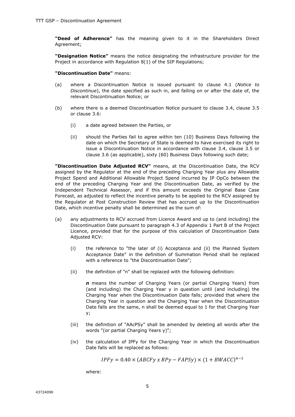**"Deed of Adherence"** has the meaning given to it in the Shareholders Direct Agreement;

**"Designation Notice"** means the notice designating the infrastructure provider for the Project in accordance with Regulation 8(1) of the SIP Regulations;

#### **"Discontinuation Date"** means:

- (a) where a Discontinuation Notice is issued pursuant to clause 4.1 (*Notice to Discontinue*), the date specified as such in, and falling on or after the date of, the relevant Discontinuation Notice; or
- (b) where there is a deemed Discontinuation Notice pursuant to clause 3.4, clause 3.5 or clause 3.6:
	- (i) a date agreed between the Parties, or
	- (ii) should the Parties fail to agree within ten (10) Business Days following the date on which the Secretary of State is deemed to have exercised its right to issue a Discontinuation Notice in accordance with clause 3.4, clause 3.5 or clause 3.6 (as applicable), sixty (60) Business Days following such date;

**"Discontinuation Date Adjusted RCV"** means, at the Discontinuation Date, the RCV assigned by the Regulator at the end of the preceding Charging Year plus any Allowable Project Spend and Additional Allowable Project Spend incurred by IP OpCo between the end of the preceding Charging Year and the Discontinuation Date, as verified by the Independent Technical Assessor, and if this amount exceeds the Original Base Case Forecast, as adjusted to reflect the incentive penalty to be applied to the RCV assigned by the Regulator at Post Construction Review that has accrued up to the Discontinuation Date, which incentive penalty shall be determined as the sum of:

- (a) any adjustments to RCV accrued from Licence Award and up to (and including) the Discontinuation Date pursuant to paragraph 4.3 of Appendix 1 Part B of the Project Licence, provided that for the purpose of this calculation of Discontinuation Date Adjusted RCV:
	- (i) the reference to "the later of (i) Acceptance and (ii) the Planned System Acceptance Date" in the definition of Summation Period shall be replaced with a reference to "the Discontinuation Date";
	- (ii) the definition of "n" shall be replaced with the following definition:

*n* means the number of Charging Years (or partial Charging Years) from (and including) the Charging Year y in question until (and including) the Charging Year when the Discontinuation Date falls; provided that where the Charging Year in question and the Charging Year when the Discontinuation Date falls are the same, n shall be deemed equal to 1 for that Charging Year y;

- (iii) the definition of "AAcPSy" shall be amended by deleting all words after the words "(or partial Charging Years y)";
- (iv) the calculation of IPFy for the Charging Year in which the Discontinuation Date falls will be replaced as follows:

$$
IPFy = 0.40 \times (ABCFy \times RPy - FAPSy) \times (1 + BWACC)^{n-1}
$$

where: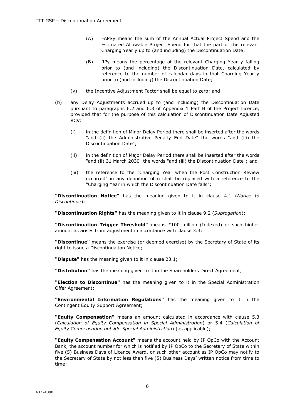- (A) FAPSy means the sum of the Annual Actual Project Spend and the Estimated Allowable Project Spend for that the part of the relevant Charging Year y up to (and including) the Discontinuation Date;
- (B) RPy means the percentage of the relevant Charging Year y falling prior to (and including) the Discontinuation Date, calculated by reference to the number of calendar days in that Charging Year y prior to (and including) the Discontinuation Date;
- (v) the Incentive Adjustment Factor shall be equal to zero; and
- (b) any Delay Adjustments accrued up to (and including) the Discontinuation Date pursuant to paragraphs 6.2 and 6.3 of Appendix 1 Part B of the Project Licence, provided that for the purpose of this calculation of Discontinuation Date Adjusted RCV:
	- (i) in the definition of Minor Delay Period there shall be inserted after the words "and (ii) the Administrative Penalty End Date" the words "and (iii) the Discontinuation Date";
	- (ii) in the definition of Major Delay Period there shall be inserted after the words "and (ii) 31 March 2030" the words "and (iii) the Discontinuation Date"; and
	- (iii) the reference to the "Charging Year when the Post Construction Review occurred" in any definition of n shall be replaced with a reference to the "Charging Year in which the Discontinuation Date falls";

**"Discontinuation Notice"** has the meaning given to it in clause 4.1 (*Notice to Discontinue*);

**"Discontinuation Rights"** has the meaning given to it in clause 9.2 (*Subrogation*);

**"Discontinuation Trigger Threshold"** means £100 million (Indexed) or such higher amount as arises from adjustment in accordance with clause 3.3;

**"Discontinue"** means the exercise (or deemed exercise) by the Secretary of State of its right to issue a Discontinuation Notice;

**"Dispute"** has the meaning given to it in clause 23.1;

**"Distribution"** has the meaning given to it in the Shareholders Direct Agreement;

**"Election to Discontinue"** has the meaning given to it in the Special Administration Offer Agreement;

**"Environmental Information Regulations"** has the meaning given to it in the Contingent Equity Support Agreement;

**"Equity Compensation"** means an amount calculated in accordance with clause 5.3 (*Calculation of Equity Compensation in Special Administration*) or 5.4 (*Calculation of Equity Compensation outside Special Administration*) (as applicable);

**"Equity Compensation Account"** means the account held by IP OpCo with the Account Bank, the account number for which is notified by IP OpCo to the Secretary of State within five (5) Business Days of Licence Award, or such other account as IP OpCo may notify to the Secretary of State by not less than five (5) Business Days' written notice from time to time;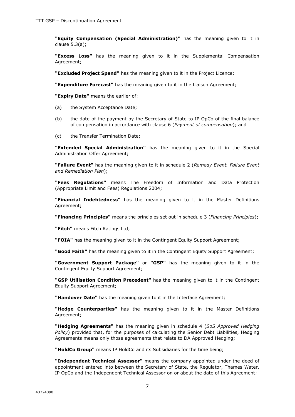**"Equity Compensation (Special Administration)"** has the meaning given to it in clause 5.3(a);

**"Excess Loss"** has the meaning given to it in the Supplemental Compensation Agreement;

**"Excluded Project Spend"** has the meaning given to it in the Project Licence;

**"Expenditure Forecast"** has the meaning given to it in the Liaison Agreement;

**"Expiry Date"** means the earlier of:

- (a) the System Acceptance Date;
- (b) the date of the payment by the Secretary of State to IP OpCo of the final balance of compensation in accordance with clause 6 (*Payment of compensation*); and
- (c) the Transfer Termination Date;

**"Extended Special Administration"** has the meaning given to it in the Special Administration Offer Agreement;

**"Failure Event"** has the meaning given to it in schedule 2 (*Remedy Event, Failure Event and Remediation Plan*);

**"Fees Regulations"** means The Freedom of Information and Data Protection (Appropriate Limit and Fees) Regulations 2004;

**"Financial Indebtedness"** has the meaning given to it in the Master Definitions Agreement;

**"Financing Principles"** means the principles set out in schedule 3 (*Financing Principles*);

**"Fitch"** means Fitch Ratings Ltd;

**"FOIA"** has the meaning given to it in the Contingent Equity Support Agreement;

**"Good Faith"** has the meaning given to it in the Contingent Equity Support Agreement;

**"Government Support Package"** or **"GSP"** has the meaning given to it in the Contingent Equity Support Agreement;

**"GSP Utilisation Condition Precedent"** has the meaning given to it in the Contingent Equity Support Agreement;

**"Handover Date"** has the meaning given to it in the Interface Agreement;

**"Hedge Counterparties"** has the meaning given to it in the Master Definitions Agreement;

**"Hedging Agreements"** has the meaning given in schedule 4 (*SoS Approved Hedging Policy*) provided that, for the purposes of calculating the Senior Debt Liabilities, Hedging Agreements means only those agreements that relate to DA Approved Hedging;

**"HoldCo Group"** means IP HoldCo and its Subsidiaries for the time being;

**"Independent Technical Assessor"** means the company appointed under the deed of appointment entered into between the Secretary of State, the Regulator, Thames Water, IP OpCo and the Independent Technical Assessor on or about the date of this Agreement;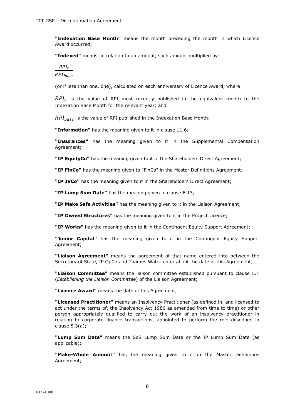**"Indexation Base Month"** means the month preceding the month in which Licence Award occurred;

**"Indexed"** means, in relation to an amount, such amount multiplied by:

 $RPI_t$ 

 $RPI_{base}$ 

(or if less than one, one), calculated on each anniversary of Licence Award, where:

 $RPI_t$  is the value of RPI most recently published in the equivalent month to the Indexation Base Month for the relevant year; and

 $RPI_{base}$  is the value of RPI published in the Indexation Base Month;

**"Information"** has the meaning given to it in clause 11.6;

**"Insurances"** has the meaning given to it in the Supplemental Compensation Agreement;

**"IP EquityCo"** has the meaning given to it in the Shareholders Direct Agreement;

**"IP FinCo"** has the meaning given to "FinCo" in the Master Definitions Agreement;

**"IP JVCo"** has the meaning given to it in the Shareholders Direct Agreement;

**"IP Lump Sum Date"** has the meaning given in clause 6.13;

**"IP Make Safe Activities"** has the meaning given to it in the Liaison Agreement;

**"IP Owned Structures"** has the meaning given to it in the Project Licence;

**"IP Works"** has the meaning given to it in the Contingent Equity Support Agreement;

**"Junior Capital"** has the meaning given to it in the Contingent Equity Support Agreement;

**"Liaison Agreement"** means the agreement of that name entered into between the Secretary of State, IP OpCo and Thames Water on or about the date of this Agreement;

**"Liaison Committee"** means the liaison committee established pursuant to clause 5.1 (*Establishing the Liaison Committee*) of the Liaison Agreement;

**"Licence Award"** means the date of this Agreement;

**"Licensed Practitioner"** means an Insolvency Practitioner (as defined in, and licensed to act under the terms of, the Insolvency Act 1986 as amended from time to time) or other person appropriately qualified to carry out the work of an insolvency practitioner in relation to corporate finance transactions, appointed to perform the role described in clause 5.3(a);

**"Lump Sum Date"** means the SoS Lump Sum Date or the IP Lump Sum Date (as applicable);

**"Make-Whole Amount"** has the meaning given to it in the Master Definitions Agreement;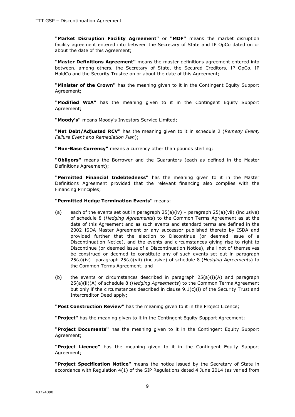**"Market Disruption Facility Agreement"** or **"MDF"** means the market disruption facility agreement entered into between the Secretary of State and IP OpCo dated on or about the date of this Agreement;

**"Master Definitions Agreement"** means the master definitions agreement entered into between, among others, the Secretary of State, the Secured Creditors, IP OpCo, IP HoldCo and the Security Trustee on or about the date of this Agreement;

**"Minister of the Crown"** has the meaning given to it in the Contingent Equity Support Agreement;

**"Modified WIA"** has the meaning given to it in the Contingent Equity Support Agreement;

**"Moody's"** means Moody's Investors Service Limited;

**"Net Debt/Adjusted RCV"** has the meaning given to it in schedule 2 (*Remedy Event, Failure Event and Remediation Plan*);

**"Non-Base Currency"** means a currency other than pounds sterling;

**"Obligors"** means the Borrower and the Guarantors (each as defined in the Master Definitions Agreement);

**"Permitted Financial Indebtedness"** has the meaning given to it in the Master Definitions Agreement provided that the relevant financing also complies with the Financing Principles;

#### **"Permitted Hedge Termination Events"** means:

- (a) each of the events set out in paragraph  $25(a)(iv)$  paragraph  $25(a)(vii)$  (inclusive) of schedule 8 (*Hedging Agreements*) to the Common Terms Agreement as at the date of this Agreement and as such events and standard terms are defined in the 2002 ISDA Master Agreement or any successor published thereto by ISDA and provided further that the election to Discontinue (or deemed issue of a Discontinuation Notice), and the events and circumstances giving rise to right to Discontinue (or deemed issue of a Discontinuation Notice), shall not of themselves be construed or deemed to constitute any of such events set out in paragraph 25(a)(iv) –paragraph 25(a)(vii) (inclusive) of schedule 8 (*Hedging Agreements*) to the Common Terms Agreement; and
- (b) the events or circumstances described in paragraph  $25(a)(i)(A)$  and paragraph 25(a)(ii)(A) of schedule 8 (*Hedging Agreements*) to the Common Terms Agreement but only if the circumstances described in clause 9.1(c)(i) of the Security Trust and Intercreditor Deed apply;

**"Post Construction Review"** has the meaning given to it in the Project Licence;

**"Project"** has the meaning given to it in the Contingent Equity Support Agreement;

**"Project Documents"** has the meaning given to it in the Contingent Equity Support Agreement;

**"Project Licence"** has the meaning given to it in the Contingent Equity Support Agreement;

**"Project Specification Notice"** means the notice issued by the Secretary of State in accordance with Regulation 4(1) of the SIP Regulations dated 4 June 2014 (as varied from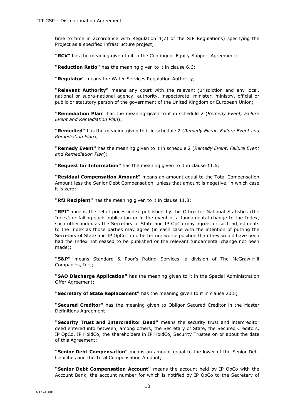time to time in accordance with Regulation 4(7) of the SIP Regulations) specifying the Project as a specified infrastructure project;

**"RCV"** has the meaning given to it in the Contingent Equity Support Agreement;

**"Reduction Ratio"** has the meaning given to it in clause 6.6;

**"Regulator"** means the Water Services Regulation Authority;

**"Relevant Authority"** means any court with the relevant jurisdiction and any local, national or supra-national agency, authority, inspectorate, minister, ministry, official or public or statutory person of the government of the United Kingdom or European Union;

**"Remediation Plan"** has the meaning given to it in schedule 2 (*Remedy Event, Failure Event and Remediation Plan*);

**"Remedied"** has the meaning given to it in schedule 2 (*Remedy Event, Failure Event and Remediation Plan*);

**"Remedy Event"** has the meaning given to it in schedule 2 (*Remedy Event, Failure Event and Remediation Plan*);

**"Request for Information"** has the meaning given to it in clause 11.6;

**"Residual Compensation Amount"** means an amount equal to the Total Compensation Amount less the Senior Debt Compensation, unless that amount is negative, in which case it is zero;

**"RfI Recipient"** has the meaning given to it in clause 11.8;

**"RPI"** means the retail prices index published by the Office for National Statistics (the Index) or failing such publication or in the event of a fundamental change to the Index, such other index as the Secretary of State and IP OpCo may agree, or such adjustments to the Index as those parties may agree (in each case with the intention of putting the Secretary of State and IP OpCo in no better nor worse position than they would have been had the Index not ceased to be published or the relevant fundamental change not been made);

**"S&P"** means Standard & Poor's Rating Services, a division of The McGraw-Hill Companies, Inc.;

**"SAO Discharge Application"** has the meaning given to it in the Special Administration Offer Agreement;

**"Secretary of State Replacement"** has the meaning given to it in clause 20.5;

**"Secured Creditor"** has the meaning given to Obligor Secured Creditor in the Master Definitions Agreement;

**"Security Trust and Intercreditor Deed"** means the security trust and intercreditor deed entered into between, among others, the Secretary of State, the Secured Creditors, IP OpCo, IP HoldCo, the shareholders in IP HoldCo, Security Trustee on or about the date of this Agreement;

**"Senior Debt Compensation"** means an amount equal to the lower of the Senior Debt Liabilities and the Total Compensation Amount;

**"Senior Debt Compensation Account"** means the account held by IP OpCo with the Account Bank, the account number for which is notified by IP OpCo to the Secretary of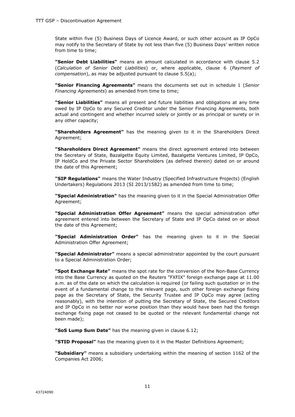State within five (5) Business Days of Licence Award, or such other account as IP OpCo may notify to the Secretary of State by not less than five (5) Business Days' written notice from time to time;

**"Senior Debt Liabilities"** means an amount calculated in accordance with clause 5.2 (*Calculation of Senior Debt Liabilities*) or, where applicable, clause 6 (*Payment of compensation*), as may be adjusted pursuant to clause 5.5(a);

**"Senior Financing Agreements"** means the documents set out in schedule 1 (*Senior Financing Agreements*) as amended from time to time;

**"Senior Liabilities"** means all present and future liabilities and obligations at any time owed by IP OpCo to any Secured Creditor under the Senior Financing Agreements, both actual and contingent and whether incurred solely or jointly or as principal or surety or in any other capacity;

**"Shareholders Agreement"** has the meaning given to it in the Shareholders Direct Agreement;

**"Shareholders Direct Agreement"** means the direct agreement entered into between the Secretary of State, Bazalgette Equity Limited, Bazalgette Ventures Limited, IP OpCo, IP HoldCo and the Private Sector Shareholders (as defined therein) dated on or around the date of this Agreement;

**"SIP Regulations"** means the Water Industry (Specified Infrastructure Projects) (English Undertakers) Regulations 2013 (SI 2013/1582) as amended from time to time;

**"Special Administration"** has the meaning given to it in the Special Administration Offer Agreement;

**"Special Administration Offer Agreement"** means the special administration offer agreement entered into between the Secretary of State and IP OpCo dated on or about the date of this Agreement;

**"Special Administration Order"** has the meaning given to it in the Special Administration Offer Agreement;

**"Special Administrator"** means a special administrator appointed by the court pursuant to a Special Administration Order;

**"Spot Exchange Rate"** means the spot rate for the conversion of the Non-Base Currency into the Base Currency as quoted on the Reuters "FXFIX" foreign exchange page at 11.00 a.m. as of the date on which the calculation is required (or failing such quotation or in the event of a fundamental change to the relevant page, such other foreign exchange fixing page as the Secretary of State, the Security Trustee and IP OpCo may agree (acting reasonably), with the intention of putting the Secretary of State, the Secured Creditors and IP OpCo in no better nor worse position than they would have been had the foreign exchange fixing page not ceased to be quoted or the relevant fundamental change not been made);

**"SoS Lump Sum Date"** has the meaning given in clause 6.12;

**"STID Proposal"** has the meaning given to it in the Master Definitions Agreement;

**"Subsidiary"** means a subsidiary undertaking within the meaning of section 1162 of the Companies Act 2006;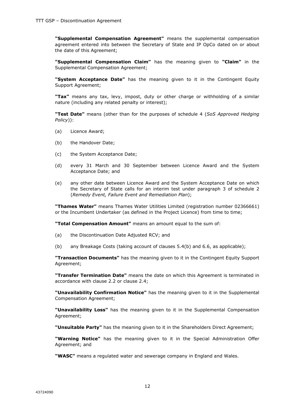**"Supplemental Compensation Agreement"** means the supplemental compensation agreement entered into between the Secretary of State and IP OpCo dated on or about the date of this Agreement;

**"Supplemental Compensation Claim"** has the meaning given to **"Claim"** in the Supplemental Compensation Agreement;

**"System Acceptance Date"** has the meaning given to it in the Contingent Equity Support Agreement;

**"Tax"** means any tax, levy, impost, duty or other charge or withholding of a similar nature (including any related penalty or interest);

**"Test Date"** means (other than for the purposes of schedule 4 (*SoS Approved Hedging Policy*)):

- (a) Licence Award;
- (b) the Handover Date;
- (c) the System Acceptance Date;
- (d) every 31 March and 30 September between Licence Award and the System Acceptance Date; and
- (e) any other date between Licence Award and the System Acceptance Date on which the Secretary of State calls for an interim test under paragraph 3 of schedule 2 (*Remedy Event, Failure Event and Remediation Plan*);

**"Thames Water"** means Thames Water Utilities Limited (registration number 02366661) or the Incumbent Undertaker (as defined in the Project Licence) from time to time;

**"Total Compensation Amount"** means an amount equal to the sum of:

- (a) the Discontinuation Date Adjusted RCV; and
- (b) any Breakage Costs (taking account of clauses 5.4(b) and 6.6, as applicable);

**"Transaction Documents"** has the meaning given to it in the Contingent Equity Support Agreement;

**"Transfer Termination Date"** means the date on which this Agreement is terminated in accordance with clause 2.2 or clause 2.4;

**"Unavailability Confirmation Notice"** has the meaning given to it in the Supplemental Compensation Agreement;

**"Unavailability Loss"** has the meaning given to it in the Supplemental Compensation Agreement;

**"Unsuitable Party"** has the meaning given to it in the Shareholders Direct Agreement;

**"Warning Notice"** has the meaning given to it in the Special Administration Offer Agreement; and

**"WASC"** means a regulated water and sewerage company in England and Wales.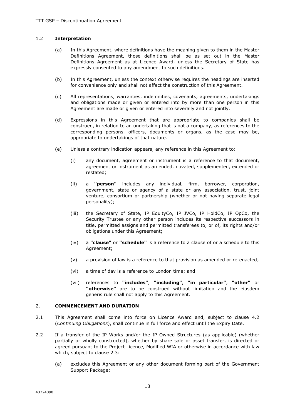#### 1.2 **Interpretation**

- (a) In this Agreement, where definitions have the meaning given to them in the Master Definitions Agreement, those definitions shall be as set out in the Master Definitions Agreement as at Licence Award, unless the Secretary of State has expressly consented to any amendment to such definitions.
- (b) In this Agreement, unless the context otherwise requires the headings are inserted for convenience only and shall not affect the construction of this Agreement.
- (c) All representations, warranties, indemnities, covenants, agreements, undertakings and obligations made or given or entered into by more than one person in this Agreement are made or given or entered into severally and not jointly.
- (d) Expressions in this Agreement that are appropriate to companies shall be construed, in relation to an undertaking that is not a company, as references to the corresponding persons, officers, documents or organs, as the case may be, appropriate to undertakings of that nature.
- (e) Unless a contrary indication appears, any reference in this Agreement to:
	- (i) any document, agreement or instrument is a reference to that document, agreement or instrument as amended, novated, supplemented, extended or restated;
	- (ii) a **"person"** includes any individual, firm, borrower, corporation, government, state or agency of a state or any association, trust, joint venture, consortium or partnership (whether or not having separate legal personality);
	- (iii) the Secretary of State, IP EquityCo, IP JVCo, IP HoldCo, IP OpCo, the Security Trustee or any other person includes its respective successors in title, permitted assigns and permitted transferees to, or of, its rights and/or obligations under this Agreement;
	- (iv) a **"clause"** or **"schedule"** is a reference to a clause of or a schedule to this Agreement;
	- (v) a provision of law is a reference to that provision as amended or re-enacted;
	- (vi) a time of day is a reference to London time; and
	- (vii) references to **"includes"**, **"including"**, **"in particular"**, **"other"** or **"otherwise"** are to be construed without limitation and the eiusdem generis rule shall not apply to this Agreement.

#### 2. **COMMENCEMENT AND DURATION**

- 2.1 This Agreement shall come into force on Licence Award and, subject to clause 4.2 (*Continuing Obligations*), shall continue in full force and effect until the Expiry Date.
- 2.2 If a transfer of the IP Works and/or the IP Owned Structures (as applicable) (whether partially or wholly constructed), whether by share sale or asset transfer, is directed or agreed pursuant to the Project Licence, Modified WIA or otherwise in accordance with law which, subject to clause 2.3:
	- (a) excludes this Agreement or any other document forming part of the Government Support Package;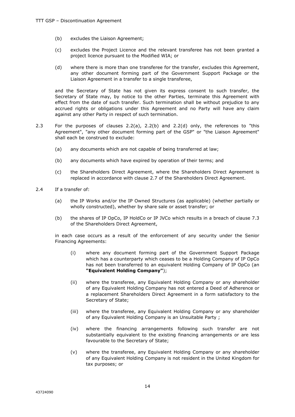- (b) excludes the Liaison Agreement;
- (c) excludes the Project Licence and the relevant transferee has not been granted a project licence pursuant to the Modified WIA; or
- (d) where there is more than one transferee for the transfer, excludes this Agreement, any other document forming part of the Government Support Package or the Liaison Agreement in a transfer to a single transferee,

and the Secretary of State has not given its express consent to such transfer, the Secretary of State may, by notice to the other Parties, terminate this Agreement with effect from the date of such transfer. Such termination shall be without prejudice to any accrued rights or obligations under this Agreement and no Party will have any claim against any other Party in respect of such termination.

- 2.3 For the purposes of clauses 2.2(a), 2.2(b) and 2.2(d) only, the references to "this Agreement", "any other document forming part of the GSP" or "the Liaison Agreement" shall each be construed to exclude:
	- (a) any documents which are not capable of being transferred at law;
	- (b) any documents which have expired by operation of their terms; and
	- (c) the Shareholders Direct Agreement, where the Shareholders Direct Agreement is replaced in accordance with clause 2.7 of the Shareholders Direct Agreement.
- 2.4 If a transfer of:
	- (a) the IP Works and/or the IP Owned Structures (as applicable) (whether partially or wholly constructed), whether by share sale or asset transfer; or
	- (b) the shares of IP OpCo, IP HoldCo or IP JVCo which results in a breach of clause 7.3 of the Shareholders Direct Agreement,

in each case occurs as a result of the enforcement of any security under the Senior Financing Agreements:

- (i) where any document forming part of the Government Support Package which has a counterparty which ceases to be a Holding Company of IP OpCo has not been transferred to an equivalent Holding Company of IP OpCo (an **"Equivalent Holding Company"**);
- (ii) where the transferee, any Equivalent Holding Company or any shareholder of any Equivalent Holding Company has not entered a Deed of Adherence or a replacement Shareholders Direct Agreement in a form satisfactory to the Secretary of State;
- (iii) where the transferee, any Equivalent Holding Company or any shareholder of any Equivalent Holding Company is an Unsuitable Party ;
- (iv) where the financing arrangements following such transfer are not substantially equivalent to the existing financing arrangements or are less favourable to the Secretary of State;
- (v) where the transferee, any Equivalent Holding Company or any shareholder of any Equivalent Holding Company is not resident in the United Kingdom for tax purposes; or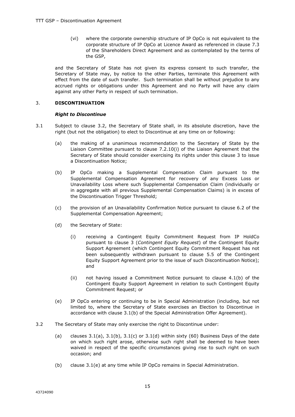(vi) where the corporate ownership structure of IP OpCo is not equivalent to the corporate structure of IP OpCo at Licence Award as referenced in clause 7.3 of the Shareholders Direct Agreement and as contemplated by the terms of the GSP,

and the Secretary of State has not given its express consent to such transfer, the Secretary of State may, by notice to the other Parties, terminate this Agreement with effect from the date of such transfer. Such termination shall be without prejudice to any accrued rights or obligations under this Agreement and no Party will have any claim against any other Party in respect of such termination.

#### 3. **DISCONTINUATION**

#### *Right to Discontinue*

- 3.1 Subject to clause 3.2, the Secretary of State shall, in its absolute discretion, have the right (but not the obligation) to elect to Discontinue at any time on or following:
	- (a) the making of a unanimous recommendation to the Secretary of State by the Liaison Committee pursuant to clause 7.2.10(i) of the Liaison Agreement that the Secretary of State should consider exercising its rights under this clause 3 to issue a Discontinuation Notice;
	- (b) IP OpCo making a Supplemental Compensation Claim pursuant to the Supplemental Compensation Agreement for recovery of any Excess Loss or Unavailability Loss where such Supplemental Compensation Claim (individually or in aggregate with all previous Supplemental Compensation Claims) is in excess of the Discontinuation Trigger Threshold;
	- (c) the provision of an Unavailability Confirmation Notice pursuant to clause 6.2 of the Supplemental Compensation Agreement;
	- (d) the Secretary of State:
		- (i) receiving a Contingent Equity Commitment Request from IP HoldCo pursuant to clause 3 (*Contingent Equity Request*) of the Contingent Equity Support Agreement (which Contingent Equity Commitment Request has not been subsequently withdrawn pursuant to clause 5.5 of the Contingent Equity Support Agreement prior to the issue of such Discontinuation Notice); and
		- (ii) not having issued a Commitment Notice pursuant to clause 4.1(b) of the Contingent Equity Support Agreement in relation to such Contingent Equity Commitment Request; or
	- (e) IP OpCo entering or continuing to be in Special Administration (including, but not limited to, where the Secretary of State exercises an Election to Discontinue in accordance with clause 3.1(b) of the Special Administration Offer Agreement).
- 3.2 The Secretary of State may only exercise the right to Discontinue under:
	- (a) clauses  $3.1(a)$ ,  $3.1(b)$ ,  $3.1(c)$  or  $3.1(d)$  within sixty (60) Business Days of the date on which such right arose, otherwise such right shall be deemed to have been waived in respect of the specific circumstances giving rise to such right on such occasion; and
	- (b) clause 3.1(e) at any time while IP OpCo remains in Special Administration.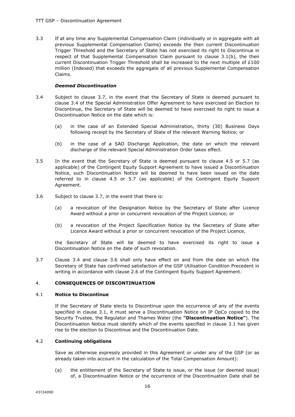3.3 If at any time any Supplemental Compensation Claim (individually or in aggregate with all previous Supplemental Compensation Claims) exceeds the then current Discontinuation Trigger Threshold and the Secretary of State has not exercised its right to Discontinue in respect of that Supplemental Compensation Claim pursuant to clause 3.1(b), the then current Discontinuation Trigger Threshold shall be increased to the next multiple of £100 million (Indexed) that exceeds the aggregate of all previous Supplemental Compensation Claims.

#### *Deemed Discontinuation*

- 3.4 Subject to clause 3.7, in the event that the Secretary of State is deemed pursuant to clause 3.4 of the Special Administration Offer Agreement to have exercised an Election to Discontinue, the Secretary of State will be deemed to have exercised its right to issue a Discontinuation Notice on the date which is:
	- (a) in the case of an Extended Special Administration, thirty (30) Business Days following receipt by the Secretary of State of the relevant Warning Notice; or
	- (b) in the case of a SAO Discharge Application, the date on which the relevant discharge of the relevant Special Administration Order takes effect.
- 3.5 In the event that the Secretary of State is deemed pursuant to clause 4.5 or 5.7 (as applicable) of the Contingent Equity Support Agreement to have issued a Discontinuation Notice, such Discontinuation Notice will be deemed to have been issued on the date referred to in clause 4.5 or 5.7 (as applicable) of the Contingent Equity Support Agreement.
- 3.6 Subject to clause 3.7, in the event that there is:
	- (a) a revocation of the Designation Notice by the Secretary of State after Licence Award without a prior or concurrent revocation of the Project Licence; or
	- (b) a revocation of the Project Specification Notice by the Secretary of State after Licence Award without a prior or concurrent revocation of the Project Licence,

the Secretary of State will be deemed to have exercised its right to issue a Discontinuation Notice on the date of such revocation.

3.7 Clause 3.4 and clause 3.6 shall only have effect on and from the date on which the Secretary of State has confirmed satisfaction of the GSP Utilisation Condition Precedent in writing in accordance with clause 2.6 of the Contingent Equity Support Agreement.

#### 4. **CONSEQUENCES OF DISCONTINUATION**

#### 4.1 **Notice to Discontinue**

If the Secretary of State elects to Discontinue upon the occurrence of any of the events specified in clause 3.1, it must serve a Discontinuation Notice on IP OpCo copied to the Security Trustee, the Regulator and Thames Water (the **"Discontinuation Notice"**). The Discontinuation Notice must identify which of the events specified in clause 3.1 has given rise to the election to Discontinue and the Discontinuation Date.

#### 4.2 **Continuing obligations**

Save as otherwise expressly provided in this Agreement or under any of the GSP (or as already taken into account in the calculation of the Total Compensation Amount):

(a) the entitlement of the Secretary of State to issue, or the issue (or deemed issue) of, a Discontinuation Notice or the occurrence of the Discontinuation Date shall be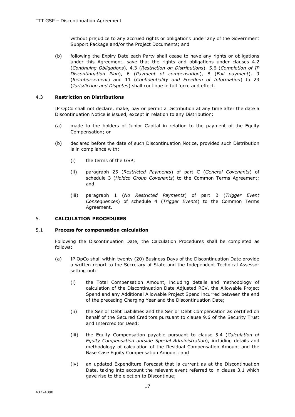without prejudice to any accrued rights or obligations under any of the Government Support Package and/or the Project Documents; and

(b) following the Expiry Date each Party shall cease to have any rights or obligations under this Agreement, save that the rights and obligations under clauses 4.2 (*Continuing Obligations*), 4.3 (*Restriction on Distributions*), 5.6 (*Completion of IP Discontinuation Plan*), 6 (*Payment of compensation*), 8 (*Full payment*), 9 (*Reimbursement*) and 11 (*Confidentiality and Freedom of Information*) to 23 (*Jurisdiction and Disputes*) shall continue in full force and effect.

#### 4.3 **Restriction on Distributions**

IP OpCo shall not declare, make, pay or permit a Distribution at any time after the date a Discontinuation Notice is issued, except in relation to any Distribution:

- (a) made to the holders of Junior Capital in relation to the payment of the Equity Compensation; or
- (b) declared before the date of such Discontinuation Notice, provided such Distribution is in compliance with:
	- (i) the terms of the GSP;
	- (ii) paragraph 25 (*Restricted Payments*) of part C (*General Covenants*) of schedule 3 (*Holdco Group Covenants*) to the Common Terms Agreement; and
	- (iii) paragraph 1 (*No Restricted Payments*) of part B (*Trigger Event Consequences*) of schedule 4 (*Trigger Events*) to the Common Terms Agreement.

#### 5. **CALCULATION PROCEDURES**

#### 5.1 **Process for compensation calculation**

Following the Discontinuation Date, the Calculation Procedures shall be completed as follows:

- (a) IP OpCo shall within twenty (20) Business Days of the Discontinuation Date provide a written report to the Secretary of State and the Independent Technical Assessor setting out:
	- (i) the Total Compensation Amount, including details and methodology of calculation of the Discontinuation Date Adjusted RCV, the Allowable Project Spend and any Additional Allowable Project Spend incurred between the end of the preceding Charging Year and the Discontinuation Date;
	- (ii) the Senior Debt Liabilities and the Senior Debt Compensation as certified on behalf of the Secured Creditors pursuant to clause 9.6 of the Security Trust and Intercreditor Deed;
	- (iii) the Equity Compensation payable pursuant to clause 5.4 (*Calculation of Equity Compensation outside Special Administration*), including details and methodology of calculation of the Residual Compensation Amount and the Base Case Equity Compensation Amount; and
	- (iv) an updated Expenditure Forecast that is current as at the Discontinuation Date, taking into account the relevant event referred to in clause 3.1 which gave rise to the election to Discontinue;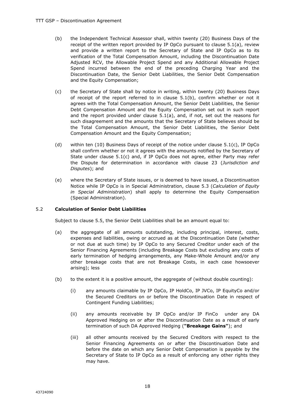- (b) the Independent Technical Assessor shall, within twenty (20) Business Days of the receipt of the written report provided by IP OpCo pursuant to clause 5.1(a), review and provide a written report to the Secretary of State and IP OpCo as to its verification of the Total Compensation Amount, including the Discontinuation Date Adjusted RCV, the Allowable Project Spend and any Additional Allowable Project Spend incurred between the end of the preceding Charging Year and the Discontinuation Date, the Senior Debt Liabilities, the Senior Debt Compensation and the Equity Compensation;
- (c) the Secretary of State shall by notice in writing, within twenty (20) Business Days of receipt of the report referred to in clause 5.1(b), confirm whether or not it agrees with the Total Compensation Amount, the Senior Debt Liabilities, the Senior Debt Compensation Amount and the Equity Compensation set out in such report and the report provided under clause  $5.1(a)$ , and, if not, set out the reasons for such disagreement and the amounts that the Secretary of State believes should be the Total Compensation Amount, the Senior Debt Liabilities, the Senior Debt Compensation Amount and the Equity Compensation;
- (d) within ten (10) Business Days of receipt of the notice under clause  $5.1(c)$ , IP OpCo shall confirm whether or not it agrees with the amounts notified by the Secretary of State under clause  $5.1(c)$  and, if IP OpCo does not agree, either Party may refer the Dispute for determination in accordance with clause 23 (*Jurisdiction and Disputes*); and
- (e) where the Secretary of State issues, or is deemed to have issued, a Discontinuation Notice while IP OpCo is in Special Administration, clause 5.3 (*Calculation of Equity in Special Administration*) shall apply to determine the Equity Compensation (Special Administration).

#### 5.2 **Calculation of Senior Debt Liabilities**

Subject to clause 5.5, the Senior Debt Liabilities shall be an amount equal to:

- (a) the aggregate of all amounts outstanding, including principal, interest, costs, expenses and liabilities, owing or accrued as at the Discontinuation Date (whether or not due at such time) by IP OpCo to any Secured Creditor under each of the Senior Financing Agreements (including Breakage Costs but excluding any costs of early termination of hedging arrangements, any Make-Whole Amount and/or any other breakage costs that are not Breakage Costs, in each case howsoever arising); less
- (b) to the extent it is a positive amount, the aggregate of (without double counting):
	- (i) any amounts claimable by IP OpCo, IP HoldCo, IP JVCo, IP EquityCo and/or the Secured Creditors on or before the Discontinuation Date in respect of Contingent Funding Liabilities;
	- (ii) any amounts receivable by IP OpCo and/or IP FinCo under any DA Approved Hedging on or after the Discontinuation Date as a result of early termination of such DA Approved Hedging (**"Breakage Gains"**); and
	- (iii) all other amounts received by the Secured Creditors with respect to the Senior Financing Agreements on or after the Discontinuation Date and before the date on which any Senior Debt Compensation is payable by the Secretary of State to IP OpCo as a result of enforcing any other rights they may have.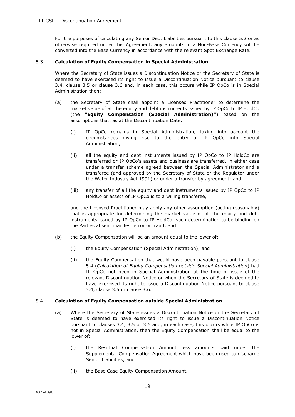For the purposes of calculating any Senior Debt Liabilities pursuant to this clause 5.2 or as otherwise required under this Agreement, any amounts in a Non-Base Currency will be converted into the Base Currency in accordance with the relevant Spot Exchange Rate.

#### 5.3 **Calculation of Equity Compensation in Special Administration**

Where the Secretary of State issues a Discontinuation Notice or the Secretary of State is deemed to have exercised its right to issue a Discontinuation Notice pursuant to clause 3.4, clause 3.5 or clause 3.6 and, in each case, this occurs while IP OpCo is in Special Administration then:

- (a) the Secretary of State shall appoint a Licensed Practitioner to determine the market value of all the equity and debt instruments issued by IP OpCo to IP HoldCo (the **"Equity Compensation (Special Administration)"**) based on the assumptions that, as at the Discontinuation Date:
	- (i) IP OpCo remains in Special Administration, taking into account the circumstances giving rise to the entry of IP OpCo into Special Administration;
	- (ii) all the equity and debt instruments issued by IP OpCo to IP HoldCo are transferred or IP OpCo's assets and business are transferred, in either case under a transfer scheme agreed between the Special Administrator and a transferee (and approved by the Secretary of State or the Regulator under the Water Industry Act 1991) or under a transfer by agreement; and
	- (iii) any transfer of all the equity and debt instruments issued by IP OpCo to IP HoldCo or assets of IP OpCo is to a willing transferee,

and the Licensed Practitioner may apply any other assumption (acting reasonably) that is appropriate for determining the market value of all the equity and debt instruments issued by IP OpCo to IP HoldCo, such determination to be binding on the Parties absent manifest error or fraud; and

- (b) the Equity Compensation will be an amount equal to the lower of:
	- (i) the Equity Compensation (Special Administration); and
	- (ii) the Equity Compensation that would have been payable pursuant to clause 5.4 (*Calculation of Equity Compensation outside Special Administration*) had IP OpCo not been in Special Administration at the time of issue of the relevant Discontinuation Notice or when the Secretary of State is deemed to have exercised its right to issue a Discontinuation Notice pursuant to clause 3.4, clause 3.5 or clause 3.6.

#### 5.4 **Calculation of Equity Compensation outside Special Administration**

- (a) Where the Secretary of State issues a Discontinuation Notice or the Secretary of State is deemed to have exercised its right to issue a Discontinuation Notice pursuant to clauses 3.4, 3.5 or 3.6 and, in each case, this occurs while IP OpCo is not in Special Administration, then the Equity Compensation shall be equal to the lower of:
	- (i) the Residual Compensation Amount less amounts paid under the Supplemental Compensation Agreement which have been used to discharge Senior Liabilities; and
	- (ii) the Base Case Equity Compensation Amount,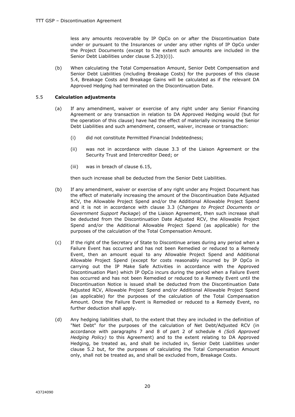less any amounts recoverable by IP OpCo on or after the Discontinuation Date under or pursuant to the Insurances or under any other rights of IP OpCo under the Project Documents (except to the extent such amounts are included in the Senior Debt Liabilities under clause 5.2(b)(i)).

(b) When calculating the Total Compensation Amount, Senior Debt Compensation and Senior Debt Liabilities (including Breakage Costs) for the purposes of this clause 5.4, Breakage Costs and Breakage Gains will be calculated as if the relevant DA Approved Hedging had terminated on the Discontinuation Date.

#### 5.5 **Calculation adjustments**

- (a) If any amendment, waiver or exercise of any right under any Senior Financing Agreement or any transaction in relation to DA Approved Hedging would (but for the operation of this clause) have had the effect of materially increasing the Senior Debt Liabilities and such amendment, consent, waiver, increase or transaction:
	- (i) did not constitute Permitted Financial Indebtedness;
	- (ii) was not in accordance with clause 3.3 of the Liaison Agreement or the Security Trust and Intercreditor Deed; or
	- (iii) was in breach of clause 6.15,

then such increase shall be deducted from the Senior Debt Liabilities.

- (b) If any amendment, waiver or exercise of any right under any Project Document has the effect of materially increasing the amount of the Discontinuation Date Adjusted RCV, the Allowable Project Spend and/or the Additional Allowable Project Spend and it is not in accordance with clause 3.3 (*Changes to Project Documents or Government Support Package*) of the Liaison Agreement, then such increase shall be deducted from the Discontinuation Date Adjusted RCV, the Allowable Project Spend and/or the Additional Allowable Project Spend (as applicable) for the purposes of the calculation of the Total Compensation Amount.
- (c) If the right of the Secretary of State to Discontinue arises during any period when a Failure Event has occurred and has not been Remedied or reduced to a Remedy Event, then an amount equal to any Allowable Project Spend and Additional Allowable Project Spend (except for costs reasonably incurred by IP OpCo in carrying out the IP Make Safe Activities in accordance with the Approved Discontinuation Plan) which IP OpCo incurs during the period when a Failure Event has occurred and has not been Remedied or reduced to a Remedy Event until the Discontinuation Notice is issued shall be deducted from the Discontinuation Date Adjusted RCV, Allowable Project Spend and/or Additional Allowable Project Spend (as applicable) for the purposes of the calculation of the Total Compensation Amount. Once the Failure Event is Remedied or reduced to a Remedy Event, no further deduction shall apply.
- (d) Any hedging liabilities shall, to the extent that they are included in the definition of "Net Debt" for the purposes of the calculation of Net Debt/Adjusted RCV (in accordance with paragraphs 7 and 8 of part 2 of schedule 4 *(SoS Approved Hedging Policy)* to this Agreement) and to the extent relating to DA Approved Hedging, be treated as, and shall be included in, Senior Debt Liabilities under clause 5.2 but, for the purposes of calculating the Total Compensation Amount only, shall not be treated as, and shall be excluded from, Breakage Costs.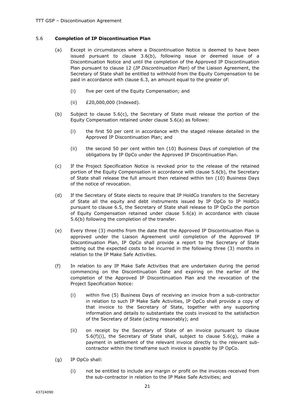#### 5.6 **Completion of IP Discontinuation Plan**

- (a) Except in circumstances where a Discontinuation Notice is deemed to have been issued pursuant to clause 3.6(b), following issue or deemed issue of a Discontinuation Notice and until the completion of the Approved IP Discontinuation Plan pursuant to clause 12 (*IP Discontinuation Plan*) of the Liaison Agreement, the Secretary of State shall be entitled to withhold from the Equity Compensation to be paid in accordance with clause 6.3, an amount equal to the greater of:
	- (i) five per cent of the Equity Compensation; and
	- (ii) £20,000,000 (Indexed).
- (b) Subject to clause 5.6(c), the Secretary of State must release the portion of the Equity Compensation retained under clause 5.6(a) as follows:
	- (i) the first 50 per cent in accordance with the staged release detailed in the Approved IP Discontinuation Plan; and
	- (ii) the second 50 per cent within ten (10) Business Days of completion of the obligations by IP OpCo under the Approved IP Discontinuation Plan.
- (c) If the Project Specification Notice is revoked prior to the release of the retained portion of the Equity Compensation in accordance with clause 5.6(b), the Secretary of State shall release the full amount then retained within ten (10) Business Days of the notice of revocation.
- (d) If the Secretary of State elects to require that IP HoldCo transfers to the Secretary of State all the equity and debt instruments issued by IP OpCo to IP HoldCo pursuant to clause 6.5, the Secretary of State shall release to IP OpCo the portion of Equity Compensation retained under clause 5.6(a) in accordance with clause 5.6(b) following the completion of the transfer.
- (e) Every three (3) months from the date that the Approved IP Discontinuation Plan is approved under the Liaison Agreement until completion of the Approved IP Discontinuation Plan, IP OpCo shall provide a report to the Secretary of State setting out the expected costs to be incurred in the following three (3) months in relation to the IP Make Safe Activities.
- (f) In relation to any IP Make Safe Activities that are undertaken during the period commencing on the Discontinuation Date and expiring on the earlier of the completion of the Approved IP Discontinuation Plan and the revocation of the Project Specification Notice:
	- (i) within five (5) Business Days of receiving an invoice from a sub-contractor in relation to such IP Make Safe Activities, IP OpCo shall provide a copy of that invoice to the Secretary of State, together with any supporting information and details to substantiate the costs invoiced to the satisfaction of the Secretary of State (acting reasonably); and
	- (ii) on receipt by the Secretary of State of an invoice pursuant to clause 5.6(f)(i), the Secretary of State shall, subject to clause 5.6(g), make a payment in settlement of the relevant invoice directly to the relevant subcontractor within the timeframe such invoice is payable by IP OpCo.
- (g) IP OpCo shall:
	- (i) not be entitled to include any margin or profit on the invoices received from the sub-contractor in relation to the IP Make Safe Activities; and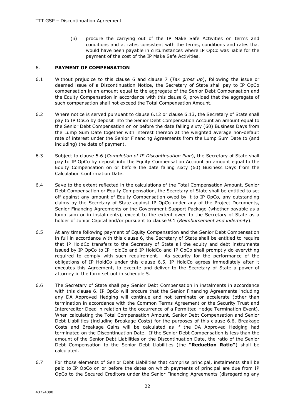(ii) procure the carrying out of the IP Make Safe Activities on terms and conditions and at rates consistent with the terms, conditions and rates that would have been payable in circumstances where IP OpCo was liable for the payment of the cost of the IP Make Safe Activities.

#### 6. **PAYMENT OF COMPENSATION**

- 6.1 Without prejudice to this clause 6 and clause 7 (*Tax gross up*), following the issue or deemed issue of a Discontinuation Notice, the Secretary of State shall pay to IP OpCo compensation in an amount equal to the aggregate of the Senior Debt Compensation and the Equity Compensation in accordance with this clause 6, provided that the aggregate of such compensation shall not exceed the Total Compensation Amount.
- 6.2 Where notice is served pursuant to clause 6.12 or clause 6.13, the Secretary of State shall pay to IP OpCo by deposit into the Senior Debt Compensation Account an amount equal to the Senior Debt Compensation on or before the date falling sixty (60) Business Days from the Lump Sum Date together with interest thereon at the weighted average non-default rate of interest under the Senior Financing Agreements from the Lump Sum Date to (and including) the date of payment.
- 6.3 Subject to clause 5.6 (*Completion of IP Discontinuation Plan*), the Secretary of State shall pay to IP OpCo by deposit into the Equity Compensation Account an amount equal to the Equity Compensation on or before the date falling sixty (60) Business Days from the Calculation Confirmation Date.
- 6.4 Save to the extent reflected in the calculations of the Total Compensation Amount, Senior Debt Compensation or Equity Compensation, the Secretary of State shall be entitled to set off against any amount of Equity Compensation owed by it to IP OpCo, any outstanding claims by the Secretary of State against IP OpCo under any of the Project Documents, Senior Financing Agreements or the Government Support Package (whether payable as a lump sum or in instalments), except to the extent owed to the Secretary of State as a holder of Junior Capital and/or pursuant to clause 9.1 (*Reimbursement and indemnity*).
- 6.5 At any time following payment of Equity Compensation and the Senior Debt Compensation in full in accordance with this clause 6, the Secretary of State shall be entitled to require that IP HoldCo transfers to the Secretary of State all the equity and debt instruments issued by IP OpCo to IP HoldCo and IP HoldCo and IP OpCo shall promptly do everything required to comply with such requirement. As security for the performance of the obligations of IP HoldCo under this clause 6.5, IP HoldCo agrees immediately after it executes this Agreement, to execute and deliver to the Secretary of State a power of attorney in the form set out in schedule 5.
- 6.6 The Secretary of State shall pay Senior Debt Compensation in instalments in accordance with this clause 6. IP OpCo will procure that the Senior Financing Agreements including any DA Approved Hedging will continue and not terminate or accelerate (other than termination in accordance with the Common Terms Agreement or the Security Trust and Intercreditor Deed in relation to the occurrence of a Permitted Hedge Termination Event). When calculating the Total Compensation Amount, Senior Debt Compensation and Senior Debt Liabilities (including Breakage Costs) for the purposes of this clause 6.6, Breakage Costs and Breakage Gains will be calculated as if the DA Approved Hedging had terminated on the Discontinuation Date. If the Senior Debt Compensation is less than the amount of the Senior Debt Liabilities on the Discontinuation Date, the ratio of the Senior Debt Compensation to the Senior Debt Liabilities (the **"Reduction Ratio"**) shall be calculated.
- 6.7 For those elements of Senior Debt Liabilities that comprise principal, instalments shall be paid to IP OpCo on or before the dates on which payments of principal are due from IP OpCo to the Secured Creditors under the Senior Financing Agreements (disregarding any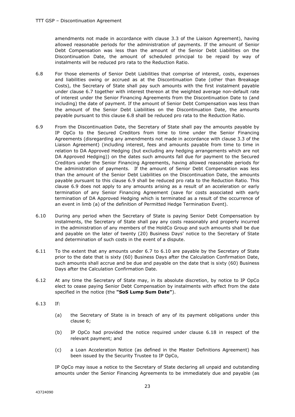amendments not made in accordance with clause 3.3 of the Liaison Agreement), having allowed reasonable periods for the administration of payments. If the amount of Senior Debt Compensation was less than the amount of the Senior Debt Liabilities on the Discontinuation Date, the amount of scheduled principal to be repaid by way of instalments will be reduced pro rata to the Reduction Ratio.

- 6.8 For those elements of Senior Debt Liabilities that comprise of interest, costs, expenses and liabilities owing or accrued as at the Discontinuation Date (other than Breakage Costs), the Secretary of State shall pay such amounts with the first instalment payable under clause 6.7 together with interest thereon at the weighted average non-default rate of interest under the Senior Financing Agreements from the Discontinuation Date to (and including) the date of payment. If the amount of Senior Debt Compensation was less than the amount of the Senior Debt Liabilities on the Discontinuation Date, the amounts payable pursuant to this clause 6.8 shall be reduced pro rata to the Reduction Ratio.
- 6.9 From the Discontinuation Date, the Secretary of State shall pay the amounts payable by IP OpCo to the Secured Creditors from time to time under the Senior Financing Agreements (disregarding any amendments not made in accordance with clause 3.3 of the Liaison Agreement) (including interest, fees and amounts payable from time to time in relation to DA Approved Hedging (but excluding any hedging arrangements which are not DA Approved Hedging)) on the dates such amounts fall due for payment to the Secured Creditors under the Senior Financing Agreements, having allowed reasonable periods for the administration of payments. If the amount of Senior Debt Compensation was less than the amount of the Senior Debt Liabilities on the Discontinuation Date, the amounts payable pursuant to this clause 6.9 shall be reduced pro rata to the Reduction Ratio. This clause 6.9 does not apply to any amounts arising as a result of an acceleration or early termination of any Senior Financing Agreement (save for costs associated with early termination of DA Approved Hedging which is terminated as a result of the occurrence of an event in limb (a) of the definition of Permitted Hedge Termination Event).
- 6.10 During any period when the Secretary of State is paying Senior Debt Compensation by instalments, the Secretary of State shall pay any costs reasonably and properly incurred in the administration of any members of the HoldCo Group and such amounts shall be due and payable on the later of twenty (20) Business Days' notice to the Secretary of State and determination of such costs in the event of a dispute.
- 6.11 To the extent that any amounts under 6.7 to 6.10 are payable by the Secretary of State prior to the date that is sixty (60) Business Days after the Calculation Confirmation Date, such amounts shall accrue and be due and payable on the date that is sixty (60) Business Days after the Calculation Confirmation Date.
- 6.12 At any time the Secretary of State may, in its absolute discretion, by notice to IP OpCo elect to cease paying Senior Debt Compensation by instalments with effect from the date specified in the notice (the **"SoS Lump Sum Date"**).
- 6.13 If:
	- (a) the Secretary of State is in breach of any of its payment obligations under this clause 6;
	- (b) IP OpCo had provided the notice required under clause 6.18 in respect of the relevant payment; and
	- (c) a Loan Acceleration Notice (as defined in the Master Definitions Agreement) has been issued by the Security Trustee to IP OpCo,

IP OpCo may issue a notice to the Secretary of State declaring all unpaid and outstanding amounts under the Senior Financing Agreements to be immediately due and payable (as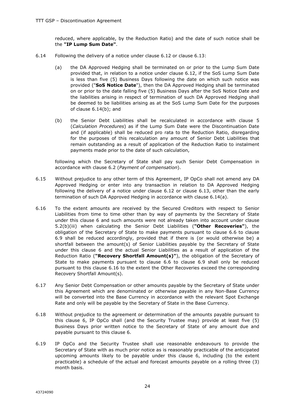reduced, where applicable, by the Reduction Ratio) and the date of such notice shall be the **"IP Lump Sum Date"**.

- 6.14 Following the delivery of a notice under clause 6.12 or clause 6.13:
	- (a) the DA Approved Hedging shall be terminated on or prior to the Lump Sum Date provided that, in relation to a notice under clause 6.12, if the SoS Lump Sum Date is less than five (5) Business Days following the date on which such notice was provided ("**SoS Notice Date**"), then the DA Approved Hedging shall be terminated on or prior to the date falling five (5) Business Days after the SoS Notice Date and the liabilities arising in respect of termination of such DA Approved Hedging shall be deemed to be liabilities arising as at the SoS Lump Sum Date for the purposes of clause 6.14(b); and
	- (b) the Senior Debt Liabilities shall be recalculated in accordance with clause 5 (*Calculation Procedures*) as if the Lump Sum Date were the Discontinuation Date and (if applicable) shall be reduced pro rata to the Reduction Ratio, disregarding for the purposes of this recalculation any amount of Senior Debt Liabilities that remain outstanding as a result of application of the Reduction Ratio to instalment payments made prior to the date of such calculation,

following which the Secretary of State shall pay such Senior Debt Compensation in accordance with clause 6.2 (*Payment of compensation*).

- 6.15 Without prejudice to any other term of this Agreement, IP OpCo shall not amend any DA Approved Hedging or enter into any transaction in relation to DA Approved Hedging following the delivery of a notice under clause 6.12 or clause 6.13, other than the early termination of such DA Approved Hedging in accordance with clause 6.14(a).
- 6.16 To the extent amounts are received by the Secured Creditors with respect to Senior Liabilities from time to time other than by way of payments by the Secretary of State under this clause 6 and such amounts were not already taken into account under clause 5.2(b)(iii) when calculating the Senior Debt Liabilities (**"Other Recoveries"**), the obligation of the Secretary of State to make payments pursuant to clause 6.6 to clause 6.9 shall be reduced accordingly, provided that if there is (or would otherwise be) a shortfall between the amount(s) of Senior Liabilities payable by the Secretary of State under this clause 6 and the actual Senior Liabilities as a result of application of the Reduction Ratio (**"Recovery Shortfall Amount(s)"**), the obligation of the Secretary of State to make payments pursuant to clause 6.6 to clause 6.9 shall only be reduced pursuant to this clause 6.16 to the extent the Other Recoveries exceed the corresponding Recovery Shortfall Amount(s).
- 6.17 Any Senior Debt Compensation or other amounts payable by the Secretary of State under this Agreement which are denominated or otherwise payable in any Non-Base Currency will be converted into the Base Currency in accordance with the relevant Spot Exchange Rate and only will be payable by the Secretary of State in the Base Currency.
- 6.18 Without prejudice to the agreement or determination of the amounts payable pursuant to this clause 6, IP OpCo shall (and the Security Trustee may) provide at least five (5) Business Days prior written notice to the Secretary of State of any amount due and payable pursuant to this clause 6.
- 6.19 IP OpCo and the Security Trustee shall use reasonable endeavours to provide the Secretary of State with as much prior notice as is reasonably practicable of the anticipated upcoming amounts likely to be payable under this clause 6, including (to the extent practicable) a schedule of the actual and forecast amounts payable on a rolling three (3) month basis.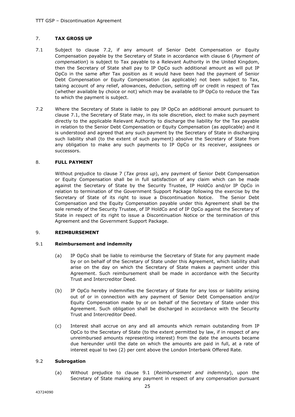#### 7. **TAX GROSS UP**

- 7.1 Subject to clause 7.2, if any amount of Senior Debt Compensation or Equity Compensation payable by the Secretary of State in accordance with clause 6 (*Payment of compensation*) is subject to Tax payable to a Relevant Authority in the United Kingdom, then the Secretary of State shall pay to IP OpCo such additional amount as will put IP OpCo in the same after Tax position as it would have been had the payment of Senior Debt Compensation or Equity Compensation (as applicable) not been subject to Tax, taking account of any relief, allowances, deduction, setting off or credit in respect of Tax (whether available by choice or not) which may be available to IP OpCo to reduce the Tax to which the payment is subject.
- 7.2 Where the Secretary of State is liable to pay IP OpCo an additional amount pursuant to clause 7.1, the Secretary of State may, in its sole discretion, elect to make such payment directly to the applicable Relevant Authority to discharge the liability for the Tax payable in relation to the Senior Debt Compensation or Equity Compensation (as applicable) and it is understood and agreed that any such payment by the Secretary of State in discharging such liability shall (to the extent of such payment) absolve the Secretary of State from any obligation to make any such payments to IP OpCo or its receiver, assignees or successors.

#### 8. **FULL PAYMENT**

Without prejudice to clause 7 (*Tax gross up*), any payment of Senior Debt Compensation or Equity Compensation shall be in full satisfaction of any claim which can be made against the Secretary of State by the Security Trustee, IP HoldCo and/or IP OpCo in relation to termination of the Government Support Package following the exercise by the Secretary of State of its right to issue a Discontinuation Notice. The Senior Debt Compensation and the Equity Compensation payable under this Agreement shall be the sole remedy of the Security Trustee, of IP HoldCo and of IP OpCo against the Secretary of State in respect of its right to issue a Discontinuation Notice or the termination of this Agreement and the Government Support Package.

#### 9. **REIMBURSEMENT**

#### 9.1 **Reimbursement and indemnity**

- (a) IP OpCo shall be liable to reimburse the Secretary of State for any payment made by or on behalf of the Secretary of State under this Agreement, which liability shall arise on the day on which the Secretary of State makes a payment under this Agreement. Such reimbursement shall be made in accordance with the Security Trust and Intercreditor Deed.
- (b) IP OpCo hereby indemnifies the Secretary of State for any loss or liability arising out of or in connection with any payment of Senior Debt Compensation and/or Equity Compensation made by or on behalf of the Secretary of State under this Agreement. Such obligation shall be discharged in accordance with the Security Trust and Intercreditor Deed.
- (c) Interest shall accrue on any and all amounts which remain outstanding from IP OpCo to the Secretary of State (to the extent permitted by law, if in respect of any unreimbursed amounts representing interest) from the date the amounts became due hereunder until the date on which the amounts are paid in full, at a rate of interest equal to two (2) per cent above the London Interbank Offered Rate.

#### 9.2 **Subrogation**

(a) Without prejudice to clause 9.1 (*Reimbursement and indemnity*), upon the Secretary of State making any payment in respect of any compensation pursuant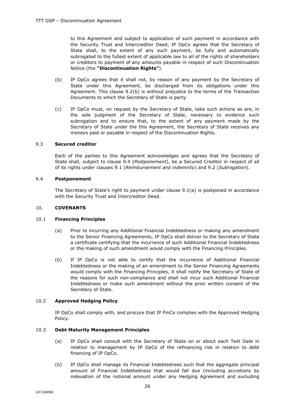to this Agreement and subject to application of such payment in accordance with the Security Trust and Intercreditor Deed, IP OpCo agrees that the Secretary of State shall, to the extent of any such payment, be fully and automatically subrogated to the fullest extent of applicable law to all of the rights of shareholders or creditors to payment of any amounts payable in respect of such Discontinuation Notice (the **"Discontinuation Rights"**).

- (b) IP OpCo agrees that it shall not, by reason of any payment by the Secretary of State under this Agreement, be discharged from its obligations under this Agreement. This clause 9.2(b) is without prejudice to the terms of the Transaction Documents to which the Secretary of State is party.
- (c) IP OpCo must, on request by the Secretary of State, take such actions as are, in the sole judgment of the Secretary of State, necessary to evidence such subrogation and to ensure that, to the extent of any payment made by the Secretary of State under the this Agreement, the Secretary of State receives any moneys paid or payable in respect of the Discontinuation Rights.

#### 9.3 **Secured creditor**

Each of the parties to this Agreement acknowledges and agrees that the Secretary of State shall, subject to clause 9.4 (*Postponement*), be a Secured Creditor in respect of all of its rights under clauses 9.1 (*Reimbursement and indemnity*) and 9.2 (*Subrogation*).

#### 9.4 **Postponement**

The Secretary of State's right to payment under clause 9.1(a) is postponed in accordance with the Security Trust and Intercreditor Deed.

#### 10. **COVENANTS**

#### 10.1 **Financing Principles**

- (a) Prior to incurring any Additional Financial Indebtedness or making any amendment to the Senior Financing Agreements, IP OpCo shall deliver to the Secretary of State a certificate certifying that the incurrence of such Additional Financial Indebtedness or the making of such amendment would comply with the Financing Principles.
- (b) If IP OpCo is not able to certify that the incurrence of Additional Financial Indebtedness or the making of an amendment to the Senior Financing Agreements would comply with the Financing Principles, it shall notify the Secretary of State of the reasons for such non-compliance and shall not incur such Additional Financial Indebtedness or make such amendment without the prior written consent of the Secretary of State.

#### 10.2 **Approved Hedging Policy**

IP OpCo shall comply with, and procure that IP FinCo complies with the Approved Hedging Policy.

#### 10.3 **Debt Maturity Management Principles**

- (a) IP OpCo shall consult with the Secretary of State on or about each Test Date in relation to management by IP OpCo of the refinancing risk in relation to debt financing of IP OpCo.
- (b) IP OpCo shall manage its Financial Indebtedness such that the aggregate principal amount of Financial Indebtedness that would fall due (including accretions by indexation of the notional amount under any Hedging Agreement and excluding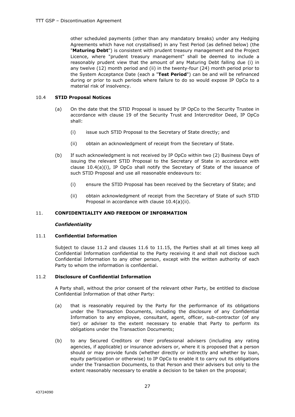other scheduled payments (other than any mandatory breaks) under any Hedging Agreements which have not crystallised) in any Test Period (as defined below) (the "**Maturing Debt**") is consistent with prudent treasury management and the Project Licence, where "prudent treasury management" shall be deemed to include a reasonably prudent view that the amount of any Maturing Debt falling due (i) in any twelve (12) month period and (ii) in the twenty-four (24) month period prior to the System Acceptance Date (each a "**Test Period**") can be and will be refinanced during or prior to such periods where failure to do so would expose IP OpCo to a material risk of insolvency.

#### 10.4 **STID Proposal Notices**

- (a) On the date that the STID Proposal is issued by IP OpCo to the Security Trustee in accordance with clause 19 of the Security Trust and Intercreditor Deed, IP OpCo shall:
	- (i) issue such STID Proposal to the Secretary of State directly; and
	- (ii) obtain an acknowledgment of receipt from the Secretary of State.
- (b) If such acknowledgment is not received by IP OpCo within two (2) Business Days of issuing the relevant STID Proposal to the Secretary of State in accordance with clause 10.4(a)(i), IP OpCo shall notify the Secretary of State of the issuance of such STID Proposal and use all reasonable endeavours to:
	- (i) ensure the STID Proposal has been received by the Secretary of State; and
	- (ii) obtain acknowledgment of receipt from the Secretary of State of such STID Proposal in accordance with clause 10.4(a)(ii).

#### 11. **CONFIDENTIALITY AND FREEDOM OF INFORMATION**

#### *Confidentiality*

#### 11.1 **Confidential Information**

Subject to clause 11.2 and clauses 11.6 to 11.15, the Parties shall at all times keep all Confidential Information confidential to the Party receiving it and shall not disclose such Confidential Information to any other person, except with the written authority of each Party to whom the information is confidential.

#### 11.2 **Disclosure of Confidential Information**

A Party shall, without the prior consent of the relevant other Party, be entitled to disclose Confidential Information of that other Party:

- (a) that is reasonably required by the Party for the performance of its obligations under the Transaction Documents, including the disclosure of any Confidential Information to any employee, consultant, agent, officer, sub-contractor (of any tier) or adviser to the extent necessary to enable that Party to perform its obligations under the Transaction Documents;
- (b) to any Secured Creditors or their professional advisers (including any rating agencies, if applicable) or insurance advisers or, where it is proposed that a person should or may provide funds (whether directly or indirectly and whether by loan, equity participation or otherwise) to IP OpCo to enable it to carry out its obligations under the Transaction Documents, to that Person and their advisers but only to the extent reasonably necessary to enable a decision to be taken on the proposal;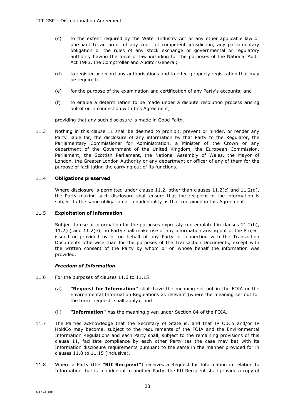- (c) to the extent required by the Water Industry Act or any other applicable law or pursuant to an order of any court of competent jurisdiction, any parliamentary obligation or the rules of any stock exchange or governmental or regulatory authority having the force of law including for the purposes of the National Audit Act 1983, the Comptroller and Auditor General;
- (d) to register or record any authorisations and to effect property registration that may be required;
- (e) for the purpose of the examination and certification of any Party's accounts; and
- (f) to enable a determination to be made under a dispute resolution process arising out of or in connection with this Agreement,

providing that any such disclosure is made in Good Faith.

11.3 Nothing in this clause 11 shall be deemed to prohibit, prevent or hinder, or render any Party liable for, the disclosure of any information by that Party to the Regulator, the Parliamentary Commissioner for Administration, a Minister of the Crown or any department of the Government of the United Kingdom, the European Commission, Parliament, the Scottish Parliament, the National Assembly of Wales, the Mayor of London, the Greater London Authority or any department or officer of any of them for the purpose of facilitating the carrying out of its functions.

#### 11.4 **Obligations preserved**

Where disclosure is permitted under clause 11.2, other than clauses  $11.2(c)$  and  $11.2(d)$ , the Party making such disclosure shall ensure that the recipient of the information is subject to the same obligation of confidentiality as that contained in this Agreement.

#### 11.5 **Exploitation of information**

Subject to use of information for the purposes expressly contemplated in clauses 11.2(b), 11.2(c) and 11.2(e), no Party shall make use of any information arising out of the Project issued or provided by or on behalf of any Party in connection with the Transaction Documents otherwise than for the purposes of the Transaction Documents, except with the written consent of the Party by whom or on whose behalf the information was provided.

#### *Freedom of Information*

- 11.6 For the purposes of clauses 11.6 to 11.15:
	- (a) **"Request for Information"** shall have the meaning set out in the FOIA or the Environmental Information Regulations as relevant (where the meaning set out for the term "request" shall apply); and
	- (ii) **"Information"** has the meaning given under Section 84 of the FOIA.
- 11.7 The Parties acknowledge that the Secretary of State is, and that IP OpCo and/or IP HoldCo may become, subject to the requirements of the FOIA and the Environmental Information Regulations and each Party shall, subject to the remaining provisions of this clause 11, facilitate compliance by each other Party (as the case may be) with its Information disclosure requirements pursuant to the same in the manner provided for in clauses 11.8 to 11.15 (inclusive).
- 11.8 Where a Party (the **"RfI Recipient"**) receives a Request for Information in relation to Information that is confidential to another Party, the RfI Recipient shall provide a copy of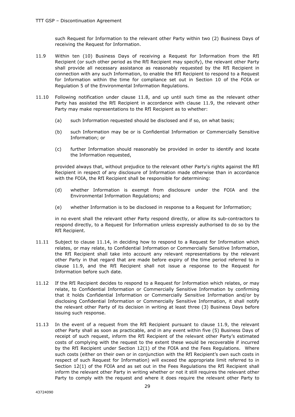such Request for Information to the relevant other Party within two (2) Business Days of receiving the Request for Information.

- 11.9 Within ten (10) Business Days of receiving a Request for Information from the RfI Recipient (or such other period as the RfI Recipient may specify), the relevant other Party shall provide all necessary assistance as reasonably requested by the RfI Recipient in connection with any such Information, to enable the RfI Recipient to respond to a Request for Information within the time for compliance set out in Section 10 of the FOIA or Regulation 5 of the Environmental Information Regulations.
- 11.10 Following notification under clause 11.8, and up until such time as the relevant other Party has assisted the RfI Recipient in accordance with clause 11.9, the relevant other Party may make representations to the RfI Recipient as to whether:
	- (a) such Information requested should be disclosed and if so, on what basis;
	- (b) such Information may be or is Confidential Information or Commercially Sensitive Information; or
	- (c) further Information should reasonably be provided in order to identify and locate the Information requested,

provided always that, without prejudice to the relevant other Party's rights against the RfI Recipient in respect of any disclosure of Information made otherwise than in accordance with the FOIA, the RfI Recipient shall be responsible for determining:

- (d) whether Information is exempt from disclosure under the FOIA and the Environmental Information Regulations; and
- (e) whether Information is to be disclosed in response to a Request for Information;

in no event shall the relevant other Party respond directly, or allow its sub-contractors to respond directly, to a Request for Information unless expressly authorised to do so by the RfI Recipient.

- 11.11 Subject to clause 11.14, in deciding how to respond to a Request for Information which relates, or may relate, to Confidential Information or Commercially Sensitive Information, the RfI Recipient shall take into account any relevant representations by the relevant other Party in that regard that are made before expiry of the time period referred to in clause 11.9, and the RfI Recipient shall not issue a response to the Request for Information before such date.
- 11.12 If the RfI Recipient decides to respond to a Request for Information which relates, or may relate, to Confidential Information or Commercially Sensitive Information by confirming that it holds Confidential Information or Commercially Sensitive Information and/or by disclosing Confidential Information or Commercially Sensitive Information, it shall notify the relevant other Party of its decision in writing at least three (3) Business Days before issuing such response.
- 11.13 In the event of a request from the RfI Recipient pursuant to clause 11.9, the relevant other Party shall as soon as practicable, and in any event within five (5) Business Days of receipt of such request, inform the RfI Recipient of the relevant other Party's estimated costs of complying with the request to the extent these would be recoverable if incurred by the RfI Recipient under Section 12(1) of the FOIA and the Fees Regulations. Where such costs (either on their own or in conjunction with the RfI Recipient's own such costs in respect of such Request for Information) will exceed the appropriate limit referred to in Section 12(1) of the FOIA and as set out in the Fees Regulations the RfI Recipient shall inform the relevant other Party in writing whether or not it still requires the relevant other Party to comply with the request and where it does require the relevant other Party to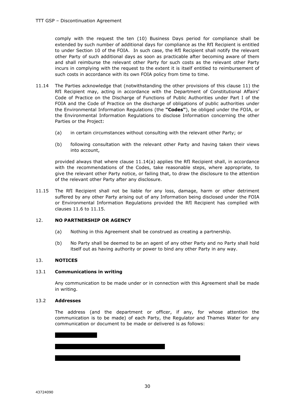comply with the request the ten (10) Business Days period for compliance shall be extended by such number of additional days for compliance as the RfI Recipient is entitled to under Section 10 of the FOIA. In such case, the RfI Recipient shall notify the relevant other Party of such additional days as soon as practicable after becoming aware of them and shall reimburse the relevant other Party for such costs as the relevant other Party incurs in complying with the request to the extent it is itself entitled to reimbursement of such costs in accordance with its own FOIA policy from time to time.

- 11.14 The Parties acknowledge that (notwithstanding the other provisions of this clause 11) the RfI Recipient may, acting in accordance with the Department of Constitutional Affairs' Code of Practice on the Discharge of Functions of Public Authorities under Part I of the FOIA and the Code of Practice on the discharge of obligations of public authorities under the Environmental Information Regulations (the **"Codes"**), be obliged under the FOIA, or the Environmental Information Regulations to disclose Information concerning the other Parties or the Project:
	- (a) in certain circumstances without consulting with the relevant other Party; or
	- (b) following consultation with the relevant other Party and having taken their views into account,

provided always that where clause 11.14(a) applies the RfI Recipient shall, in accordance with the recommendations of the Codes, take reasonable steps, where appropriate, to give the relevant other Party notice, or failing that, to draw the disclosure to the attention of the relevant other Party after any disclosure.

11.15 The RfI Recipient shall not be liable for any loss, damage, harm or other detriment suffered by any other Party arising out of any Information being disclosed under the FOIA or Environmental Information Regulations provided the RfI Recipient has complied with clauses 11.6 to 11.15.

#### 12. **NO PARTNERSHIP OR AGENCY**

- (a) Nothing in this Agreement shall be construed as creating a partnership.
- (b) No Party shall be deemed to be an agent of any other Party and no Party shall hold itself out as having authority or power to bind any other Party in any way.

#### 13. **NOTICES**

#### 13.1 **Communications in writing**

Any communication to be made under or in connection with this Agreement shall be made in writing.

#### 13.2 **Addresses**

The address (and the department or officer, if any, for whose attention the communication is to be made) of each Party, the Regulator and Thames Water for any communication or document to be made or delivered is as follows:

| | | | | | | | | | | | | | | | | | | | | | | | | | | | | | | | | | | | | | | | | | | | | | | | | | | |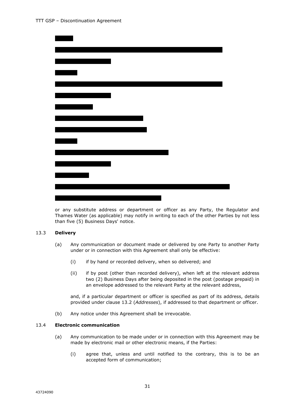

or any substitute address or department or officer as any Party, the Regulator and Thames Water (as applicable) may notify in writing to each of the other Parties by not less than five (5) Business Days' notice.

#### 13.3 **Delivery**

- (a) Any communication or document made or delivered by one Party to another Party under or in connection with this Agreement shall only be effective:
	- (i) if by hand or recorded delivery, when so delivered; and
	- (ii) if by post (other than recorded delivery), when left at the relevant address two (2) Business Days after being deposited in the post (postage prepaid) in an envelope addressed to the relevant Party at the relevant address,

and, if a particular department or officer is specified as part of its address, details provided under clause 13.2 (*Addresses*), if addressed to that department or officer.

(b) Any notice under this Agreement shall be irrevocable.

#### 13.4 **Electronic communication**

- (a) Any communication to be made under or in connection with this Agreement may be made by electronic mail or other electronic means, if the Parties:
	- (i) agree that, unless and until notified to the contrary, this is to be an accepted form of communication;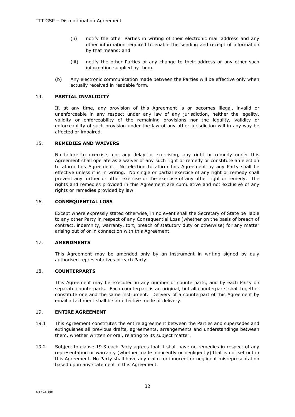- (ii) notify the other Parties in writing of their electronic mail address and any other information required to enable the sending and receipt of information by that means; and
- (iii) notify the other Parties of any change to their address or any other such information supplied by them.
- (b) Any electronic communication made between the Parties will be effective only when actually received in readable form.

#### 14. **PARTIAL INVALIDITY**

If, at any time, any provision of this Agreement is or becomes illegal, invalid or unenforceable in any respect under any law of any jurisdiction, neither the legality, validity or enforceability of the remaining provisions nor the legality, validity or enforceability of such provision under the law of any other jurisdiction will in any way be affected or impaired.

#### 15. **REMEDIES AND WAIVERS**

No failure to exercise, nor any delay in exercising, any right or remedy under this Agreement shall operate as a waiver of any such right or remedy or constitute an election to affirm this Agreement. No election to affirm this Agreement by any Party shall be effective unless it is in writing. No single or partial exercise of any right or remedy shall prevent any further or other exercise or the exercise of any other right or remedy. The rights and remedies provided in this Agreement are cumulative and not exclusive of any rights or remedies provided by law.

#### 16. **CONSEQUENTIAL LOSS**

Except where expressly stated otherwise, in no event shall the Secretary of State be liable to any other Party in respect of any Consequential Loss (whether on the basis of breach of contract, indemnity, warranty, tort, breach of statutory duty or otherwise) for any matter arising out of or in connection with this Agreement.

#### 17. **AMENDMENTS**

This Agreement may be amended only by an instrument in writing signed by duly authorised representatives of each Party.

#### 18. **COUNTERPARTS**

This Agreement may be executed in any number of counterparts, and by each Party on separate counterparts. Each counterpart is an original, but all counterparts shall together constitute one and the same instrument. Delivery of a counterpart of this Agreement by email attachment shall be an effective mode of delivery.

#### 19. **ENTIRE AGREEMENT**

- 19.1 This Agreement constitutes the entire agreement between the Parties and supersedes and extinguishes all previous drafts, agreements, arrangements and understandings between them, whether written or oral, relating to its subject matter.
- 19.2 Subject to clause 19.3 each Party agrees that it shall have no remedies in respect of any representation or warranty (whether made innocently or negligently) that is not set out in this Agreement. No Party shall have any claim for innocent or negligent misrepresentation based upon any statement in this Agreement.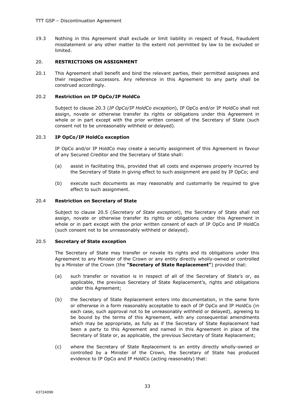19.3 Nothing in this Agreement shall exclude or limit liability in respect of fraud, fraudulent misstatement or any other matter to the extent not permitted by law to be excluded or limited.

#### 20. **RESTRICTIONS ON ASSIGNMENT**

20.1 This Agreement shall benefit and bind the relevant parties, their permitted assignees and their respective successors. Any reference in this Agreement to any party shall be construed accordingly.

#### 20.2 **Restriction on IP OpCo/IP HoldCo**

Subject to clause 20.3 (*IP OpCo/IP HoldCo exception*), IP OpCo and/or IP HoldCo shall not assign, novate or otherwise transfer its rights or obligations under this Agreement in whole or in part except with the prior written consent of the Secretary of State (such consent not to be unreasonably withheld or delayed).

#### 20.3 **IP OpCo/IP HoldCo exception**

IP OpCo and/or IP HoldCo may create a security assignment of this Agreement in favour of any Secured Creditor and the Secretary of State shall:

- (a) assist in facilitating this, provided that all costs and expenses properly incurred by the Secretary of State in giving effect to such assignment are paid by IP OpCo; and
- (b) execute such documents as may reasonably and customarily be required to give effect to such assignment.

#### 20.4 **Restriction on Secretary of State**

Subject to clause 20.5 (*Secretary of State exception*), the Secretary of State shall not assign, novate or otherwise transfer its rights or obligations under this Agreement in whole or in part except with the prior written consent of each of IP OpCo and IP HoldCo (such consent not to be unreasonably withheld or delayed).

#### 20.5 **Secretary of State exception**

The Secretary of State may transfer or novate its rights and its obligations under this Agreement to any Minister of the Crown or any entity directly wholly-owned or controlled by a Minister of the Crown (the **"Secretary of State Replacement"**) provided that:

- (a) such transfer or novation is in respect of all of the Secretary of State's or, as applicable, the previous Secretary of State Replacement's, rights and obligations under this Agreement;
- (b) the Secretary of State Replacement enters into documentation, in the same form or otherwise in a form reasonably acceptable to each of IP OpCo and IP HoldCo (in each case, such approval not to be unreasonably withheld or delayed), agreeing to be bound by the terms of this Agreement, with any consequential amendments which may be appropriate, as fully as if the Secretary of State Replacement had been a party to this Agreement and named in this Agreement in place of the Secretary of State or, as applicable, the previous Secretary of State Replacement;
- (c) where the Secretary of State Replacement is an entity directly wholly-owned or controlled by a Minister of the Crown, the Secretary of State has produced evidence to IP OpCo and IP HoldCo (acting reasonably) that: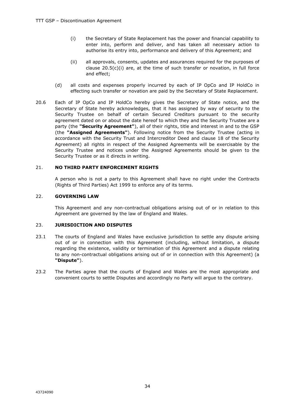- (i) the Secretary of State Replacement has the power and financial capability to enter into, perform and deliver, and has taken all necessary action to authorise its entry into, performance and delivery of this Agreement; and
- (ii) all approvals, consents, updates and assurances required for the purposes of clause 20.5(c)(i) are, at the time of such transfer or novation, in full force and effect;
- (d) all costs and expenses properly incurred by each of IP OpCo and IP HoldCo in effecting such transfer or novation are paid by the Secretary of State Replacement.
- 20.6 Each of IP OpCo and IP HoldCo hereby gives the Secretary of State notice, and the Secretary of State hereby acknowledges, that it has assigned by way of security to the Security Trustee on behalf of certain Secured Creditors pursuant to the security agreement dated on or about the date hereof to which they and the Security Trustee are a party (the **"Security Agreement"**), all of their rights, title and interest in and to the GSP (the **"Assigned Agreements"**). Following notice from the Security Trustee (acting in accordance with the Security Trust and Intercreditor Deed and clause 18 of the Security Agreement) all rights in respect of the Assigned Agreements will be exercisable by the Security Trustee and notices under the Assigned Agreements should be given to the Security Trustee or as it directs in writing.

#### 21. **NO THIRD PARTY ENFORCEMENT RIGHTS**

A person who is not a party to this Agreement shall have no right under the Contracts (Rights of Third Parties) Act 1999 to enforce any of its terms.

#### 22. **GOVERNING LAW**

This Agreement and any non-contractual obligations arising out of or in relation to this Agreement are governed by the law of England and Wales.

#### 23. **JURISDICTION AND DISPUTES**

- 23.1 The courts of England and Wales have exclusive jurisdiction to settle any dispute arising out of or in connection with this Agreement (including, without limitation, a dispute regarding the existence, validity or termination of this Agreement and a dispute relating to any non-contractual obligations arising out of or in connection with this Agreement) (a **"Dispute"**).
- 23.2 The Parties agree that the courts of England and Wales are the most appropriate and convenient courts to settle Disputes and accordingly no Party will argue to the contrary.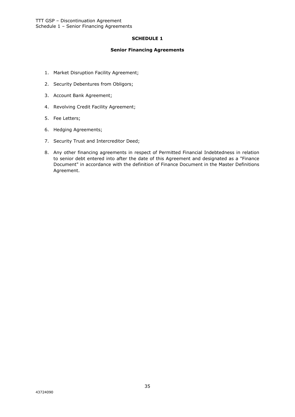#### **SCHEDULE 1**

#### **Senior Financing Agreements**

- 1. Market Disruption Facility Agreement;
- 2. Security Debentures from Obligors;
- 3. Account Bank Agreement;
- 4. Revolving Credit Facility Agreement;
- 5. Fee Letters;
- 6. Hedging Agreements;
- 7. Security Trust and Intercreditor Deed;
- 8. Any other financing agreements in respect of Permitted Financial Indebtedness in relation to senior debt entered into after the date of this Agreement and designated as a "Finance Document" in accordance with the definition of Finance Document in the Master Definitions Agreement.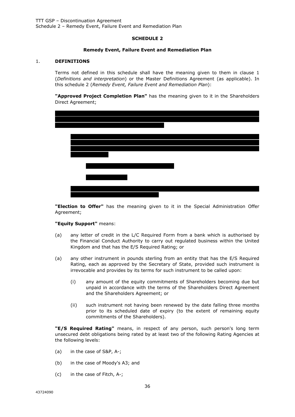#### **SCHEDULE 2**

#### **Remedy Event, Failure Event and Remediation Plan**

#### 1. **DEFINITIONS**

Terms not defined in this schedule shall have the meaning given to them in clause 1 (*Definitions and interpretation*) or the Master Definitions Agreement (as applicable). In this schedule 2 (*Remedy Event, Failure Event and Remediation Plan*):

**"Approved Project Completion Plan"** has the meaning given to it in the Shareholders Direct Agreement;



**"Election to Offer"** has the meaning given to it in the Special Administration Offer Agreement;

#### **"Equity Support"** means:

- (a) any letter of credit in the L/C Required Form from a bank which is authorised by the Financial Conduct Authority to carry out regulated business within the United Kingdom and that has the E/S Required Rating; or
- (a) any other instrument in pounds sterling from an entity that has the E/S Required Rating, each as approved by the Secretary of State, provided such instrument is irrevocable and provides by its terms for such instrument to be called upon:
	- (i) any amount of the equity commitments of Shareholders becoming due but unpaid in accordance with the terms of the Shareholders Direct Agreement and the Shareholders Agreement; or
	- (ii) such instrument not having been renewed by the date falling three months prior to its scheduled date of expiry (to the extent of remaining equity commitments of the Shareholders).

**"E/S Required Rating"** means, in respect of any person, such person's long term unsecured debt obligations being rated by at least two of the following Rating Agencies at the following levels:

- (a) in the case of S&P, A-;
- (b) in the case of Moody's A3; and
- (c) in the case of Fitch, A-;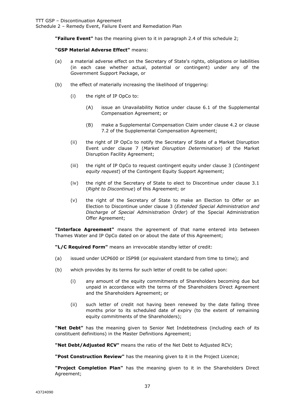Schedule 2 – Remedy Event, Failure Event and Remediation Plan

**"Failure Event"** has the meaning given to it in paragraph 2.4 of this schedule 2;

#### **"GSP Material Adverse Effect"** means:

- (a) a material adverse effect on the Secretary of State's rights, obligations or liabilities (in each case whether actual, potential or contingent) under any of the Government Support Package, or
- (b) the effect of materially increasing the likelihood of triggering:
	- (i) the right of IP OpCo to:
		- (A) issue an Unavailability Notice under clause 6.1 of the Supplemental Compensation Agreement; or
		- (B) make a Supplemental Compensation Claim under clause 4.2 or clause 7.2 of the Supplemental Compensation Agreement;
	- (ii) the right of IP OpCo to notify the Secretary of State of a Market Disruption Event under clause 7 (*Market Disruption Determination*) of the Market Disruption Facility Agreement;
	- (iii) the right of IP OpCo to request contingent equity under clause 3 (*Contingent equity request*) of the Contingent Equity Support Agreement;
	- (iv) the right of the Secretary of State to elect to Discontinue under clause 3.1 (*Right to Discontinue*) of this Agreement; or
	- (v) the right of the Secretary of State to make an Election to Offer or an Election to Discontinue under clause 3 (*Extended Special Administration and Discharge of Special Administration Order*) of the Special Administration Offer Agreement;

**"Interface Agreement"** means the agreement of that name entered into between Thames Water and IP OpCo dated on or about the date of this Agreement;

**"L/C Required Form"** means an irrevocable standby letter of credit:

- (a) issued under UCP600 or ISP98 (or equivalent standard from time to time); and
- (b) which provides by its terms for such letter of credit to be called upon:
	- (i) any amount of the equity commitments of Shareholders becoming due but unpaid in accordance with the terms of the Shareholders Direct Agreement and the Shareholders Agreement; or
	- (ii) such letter of credit not having been renewed by the date falling three months prior to its scheduled date of expiry (to the extent of remaining equity commitments of the Shareholders);

**"Net Debt"** has the meaning given to Senior Net Indebtedness (including each of its constituent definitions) in the Master Definitions Agreement;

**"Net Debt/Adjusted RCV"** means the ratio of the Net Debt to Adjusted RCV;

**"Post Construction Review"** has the meaning given to it in the Project Licence;

**"Project Completion Plan"** has the meaning given to it in the Shareholders Direct Agreement;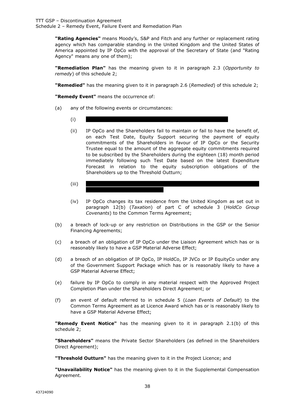Schedule 2 – Remedy Event, Failure Event and Remediation Plan

**"Rating Agencies"** means Moody's, S&P and Fitch and any further or replacement rating agency which has comparable standing in the United Kingdom and the United States of America appointed by IP OpCo with the approval of the Secretary of State (and "Rating Agency" means any one of them);

**"Remediation Plan"** has the meaning given to it in paragraph 2.3 (*Opportunity to remedy*) of this schedule 2;

**"Remedied"** has the meaning given to it in paragraph 2.6 (*Remedied*) of this schedule 2;

**"Remedy Event"** means the occurrence of:

- (a) any of the following events or circumstances:
	- $(i)$
	- (ii) IP OpCo and the Shareholders fail to maintain or fail to have the benefit of, on each Test Date, Equity Support securing the payment of equity commitments of the Shareholders in favour of IP OpCo or the Security Trustee equal to the amount of the aggregate equity commitments required to be subscribed by the Shareholders during the eighteen (18) month period immediately following such Test Date based on the latest Expenditure Forecast in relation to the equity subscription obligations of the Shareholders up to the Threshold Outturn;
	- (iii)  $| \cdot |$   $|$
	- (iv) IP OpCo changes its tax residence from the United Kingdom as set out in paragraph 12(b) (*Taxation*) of part C of schedule 3 (*HoldCo Group Covenants*) to the Common Terms Agreement;
- (b) a breach of lock-up or any restriction on Distributions in the GSP or the Senior Financing Agreements;
- (c) a breach of an obligation of IP OpCo under the Liaison Agreement which has or is reasonably likely to have a GSP Material Adverse Effect;
- (d) a breach of an obligation of IP OpCo, IP HoldCo, IP JVCo or IP EquityCo under any of the Government Support Package which has or is reasonably likely to have a GSP Material Adverse Effect;
- (e) failure by IP OpCo to comply in any material respect with the Approved Project Completion Plan under the Shareholders Direct Agreement; or
- (f) an event of default referred to in schedule 5 (*Loan Events of Default*) to the Common Terms Agreement as at Licence Award which has or is reasonably likely to have a GSP Material Adverse Effect;

**"Remedy Event Notice"** has the meaning given to it in paragraph 2.1(b) of this schedule 2;

**"Shareholders"** means the Private Sector Shareholders (as defined in the Shareholders Direct Agreement);

**"Threshold Outturn"** has the meaning given to it in the Project Licence; and

**"Unavailability Notice"** has the meaning given to it in the Supplemental Compensation Agreement.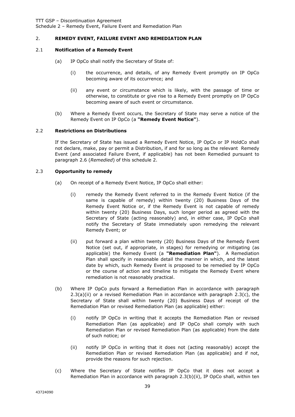TTT GSP – Discontinuation Agreement

Schedule 2 – Remedy Event, Failure Event and Remediation Plan

#### 2. **REMEDY EVENT, FAILURE EVENT AND REMEDIATION PLAN**

#### 2.1 **Notification of a Remedy Event**

- (a) IP OpCo shall notify the Secretary of State of:
	- (i) the occurrence, and details, of any Remedy Event promptly on IP OpCo becoming aware of its occurrence; and
	- (ii) any event or circumstance which is likely, with the passage of time or otherwise, to constitute or give rise to a Remedy Event promptly on IP OpCo becoming aware of such event or circumstance.
- (b) Where a Remedy Event occurs, the Secretary of State may serve a notice of the Remedy Event on IP OpCo (a **"Remedy Event Notice"**).

#### 2.2 **Restrictions on Distributions**

If the Secretary of State has issued a Remedy Event Notice, IP OpCo or IP HoldCo shall not declare, make, pay or permit a Distribution, if and for so long as the relevant Remedy Event (and associated Failure Event, if applicable) has not been Remedied pursuant to paragraph 2.6 (*Remedied*) of this schedule 2.

#### 2.3 **Opportunity to remedy**

- (a) On receipt of a Remedy Event Notice, IP OpCo shall either:
	- (i) remedy the Remedy Event referred to in the Remedy Event Notice (if the same is capable of remedy) within twenty (20) Business Days of the Remedy Event Notice or, if the Remedy Event is not capable of remedy within twenty (20) Business Days, such longer period as agreed with the Secretary of State (acting reasonably) and, in either case, IP OpCo shall notify the Secretary of State immediately upon remedying the relevant Remedy Event; or
	- (ii) put forward a plan within twenty (20) Business Days of the Remedy Event Notice (set out, if appropriate, in stages) for remedying or mitigating (as applicable) the Remedy Event (a **"Remediation Plan"**). A Remediation Plan shall specify in reasonable detail the manner in which, and the latest date by which, such Remedy Event is proposed to be remedied by IP OpCo or the course of action and timeline to mitigate the Remedy Event where remediation is not reasonably practical.
- (b) Where IP OpCo puts forward a Remediation Plan in accordance with paragraph 2.3(a)(ii) or a revised Remediation Plan in accordance with paragraph 2.3(c), the Secretary of State shall within twenty (20) Business Days of receipt of the Remediation Plan or revised Remediation Plan (as applicable) either:
	- (i) notify IP OpCo in writing that it accepts the Remediation Plan or revised Remediation Plan (as applicable) and IP OpCo shall comply with such Remediation Plan or revised Remediation Plan (as applicable) from the date of such notice; or
	- (ii) notify IP OpCo in writing that it does not (acting reasonably) accept the Remediation Plan or revised Remediation Plan (as applicable) and if not, provide the reasons for such rejection.
- (c) Where the Secretary of State notifies IP OpCo that it does not accept a Remediation Plan in accordance with paragraph 2.3(b)(ii), IP OpCo shall, within ten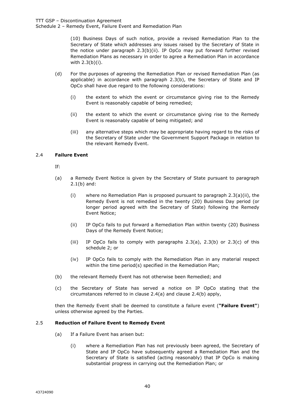Schedule 2 – Remedy Event, Failure Event and Remediation Plan

(10) Business Days of such notice, provide a revised Remediation Plan to the Secretary of State which addresses any issues raised by the Secretary of State in the notice under paragraph 2.3(b)(ii). IP OpCo may put forward further revised Remediation Plans as necessary in order to agree a Remediation Plan in accordance with 2.3(b)(i).

- (d) For the purposes of agreeing the Remediation Plan or revised Remediation Plan (as applicable) in accordance with paragraph 2.3(b), the Secretary of State and IP OpCo shall have due regard to the following considerations:
	- (i) the extent to which the event or circumstance giving rise to the Remedy Event is reasonably capable of being remedied;
	- (ii) the extent to which the event or circumstance giving rise to the Remedy Event is reasonably capable of being mitigated; and
	- (iii) any alternative steps which may be appropriate having regard to the risks of the Secretary of State under the Government Support Package in relation to the relevant Remedy Event.

#### 2.4 **Failure Event**

- If:
- (a) a Remedy Event Notice is given by the Secretary of State pursuant to paragraph 2.1(b) and:
	- (i) where no Remediation Plan is proposed pursuant to paragraph 2.3(a)(ii), the Remedy Event is not remedied in the twenty (20) Business Day period (or longer period agreed with the Secretary of State) following the Remedy Event Notice;
	- (ii) IP OpCo fails to put forward a Remediation Plan within twenty (20) Business Days of the Remedy Event Notice;
	- (iii) IP OpCo fails to comply with paragraphs  $2.3(a)$ ,  $2.3(b)$  or  $2.3(c)$  of this schedule 2; or
	- (iv) IP OpCo fails to comply with the Remediation Plan in any material respect within the time period(s) specified in the Remediation Plan;
- (b) the relevant Remedy Event has not otherwise been Remedied; and
- (c) the Secretary of State has served a notice on IP OpCo stating that the circumstances referred to in clause 2.4(a) and clause 2.4(b) apply,

then the Remedy Event shall be deemed to constitute a failure event (**"Failure Event"**) unless otherwise agreed by the Parties.

#### 2.5 **Reduction of Failure Event to Remedy Event**

- (a) If a Failure Event has arisen but:
	- (i) where a Remediation Plan has not previously been agreed, the Secretary of State and IP OpCo have subsequently agreed a Remediation Plan and the Secretary of State is satisfied (acting reasonably) that IP OpCo is making substantial progress in carrying out the Remediation Plan; or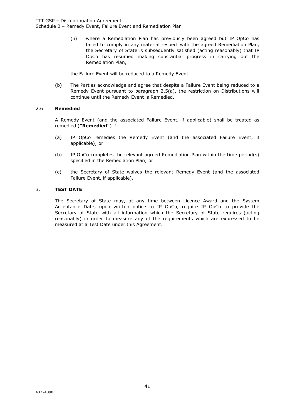Schedule 2 – Remedy Event, Failure Event and Remediation Plan

(ii) where a Remediation Plan has previously been agreed but IP OpCo has failed to comply in any material respect with the agreed Remediation Plan, the Secretary of State is subsequently satisfied (acting reasonably) that IP OpCo has resumed making substantial progress in carrying out the Remediation Plan,

the Failure Event will be reduced to a Remedy Event.

(b) The Parties acknowledge and agree that despite a Failure Event being reduced to a Remedy Event pursuant to paragraph 2.5(a), the restriction on Distributions will continue until the Remedy Event is Remedied.

#### 2.6 **Remedied**

A Remedy Event (and the associated Failure Event, if applicable) shall be treated as remedied (**"Remedied"**) if:

- (a) IP OpCo remedies the Remedy Event (and the associated Failure Event, if applicable); or
- (b) IP OpCo completes the relevant agreed Remediation Plan within the time period(s) specified in the Remediation Plan; or
- (c) the Secretary of State waives the relevant Remedy Event (and the associated Failure Event, if applicable).

#### 3. **TEST DATE**

The Secretary of State may, at any time between Licence Award and the System Acceptance Date, upon written notice to IP OpCo, require IP OpCo to provide the Secretary of State with all information which the Secretary of State requires (acting reasonably) in order to measure any of the requirements which are expressed to be measured at a Test Date under this Agreement.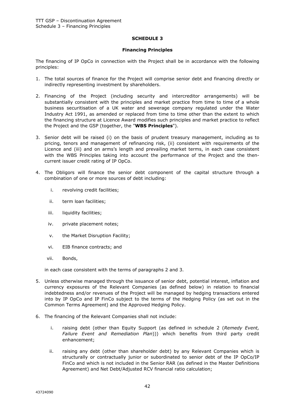#### **SCHEDULE 3**

#### **Financing Principles**

The financing of IP OpCo in connection with the Project shall be in accordance with the following principles:

- 1. The total sources of finance for the Project will comprise senior debt and financing directly or indirectly representing investment by shareholders.
- 2. Financing of the Project (including security and intercreditor arrangements) will be substantially consistent with the principles and market practice from time to time of a whole business securitisation of a UK water and sewerage company regulated under the Water Industry Act 1991, as amended or replaced from time to time other than the extent to which the financing structure at Licence Award modifies such principles and market practice to reflect the Project and the GSP (together, the "**WBS Principles**").
- 3. Senior debt will be raised (i) on the basis of prudent treasury management, including as to pricing, tenors and management of refinancing risk, (ii) consistent with requirements of the Licence and (iii) and on arms's length and prevailing market terms, in each case consistent with the WBS Principles taking into account the performance of the Project and the thencurrent issuer credit rating of IP OpCo.
- 4. The Obligors will finance the senior debt component of the capital structure through a combination of one or more sources of debt including:
	- i. revolving credit facilities;
	- ii. term loan facilities;
	- iii. liquidity facilities;
	- iv. private placement notes;
	- v. the Market Disruption Facility;
	- vi. EIB finance contracts; and
	- vii. Bonds,

in each case consistent with the terms of paragraphs 2 and 3.

- 5. Unless otherwise managed through the issuance of senior debt, potential interest, inflation and currency exposures of the Relevant Companies (as defined below) in relation to financial indebtedness and/or revenues of the Project will be managed by hedging transactions entered into by IP OpCo and IP FinCo subject to the terms of the Hedging Policy (as set out in the Common Terms Agreement) and the Approved Hedging Policy.
- 6. The financing of the Relevant Companies shall not include:
	- i. raising debt (other than Equity Support (as defined in schedule 2 (*Remedy Event, Failure Event and Remediation Plan*))) which benefits from third party credit enhancement;
	- ii. raising any debt (other than shareholder debt) by any Relevant Companies which is structurally or contractually junior or subordinated to senior debt of the IP OpCo/IP FinCo and which is not included in the Senior RAR (as defined in the Master Definitions Agreement) and Net Debt/Adjusted RCV financial ratio calculation;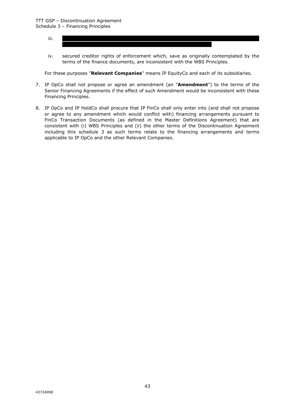- iii. | | | | | | | | | | | | | | | | | | | | | | | | | | | | | | | | | | | | | | | | | | | | | | | | | | | | | | |
- iv. secured creditor rights of enforcement which, save as originally contemplated by the terms of the finance documents, are inconsistent with the WBS Principles.

For these purposes "**Relevant Companies**" means IP EquityCo and each of its subsidiaries.

- 7. IP OpCo shall not propose or agree an amendment (an "**Amendment**") to the terms of the Senior Financing Agreements if the effect of such Amendment would be inconsistent with these Financing Principles.
- 8. IP OpCo and IP HoldCo shall procure that IP FinCo shall only enter into (and shall not propose or agree to any amendment which would conflict with) financing arrangements pursuant to FinCo Transaction Documents (as defined in the Master Definitions Agreement) that are consistent with (i) WBS Principles and (ii) the other terms of the Discontinuation Agreement including this schedule 3 as such terms relate to the financing arrangements and terms applicable to IP OpCo and the other Relevant Companies.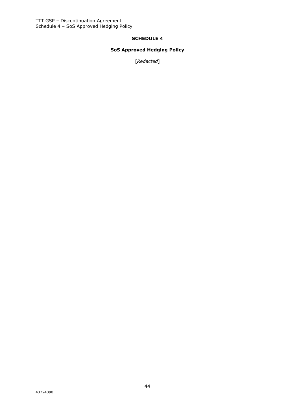#### **SCHEDULE 4**

### **SoS Approved Hedging Policy**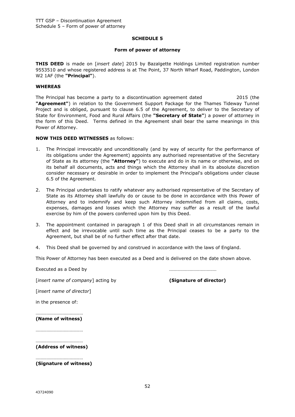#### **SCHEDULE 5**

#### **Form of power of attorney**

**THIS DEED** is made on [*insert date*] 2015 by Bazalgette Holdings Limited registration number 9553510 and whose registered address is at The Point, 37 North Wharf Road, Paddington, London W2 1AF (the **"Principal"**).

#### **WHEREAS**

The Principal has become a party to a discontinuation agreement dated 2015 (the **"Agreement"**) in relation to the Government Support Package for the Thames Tideway Tunnel Project and is obliged, pursuant to clause 6.5 of the Agreement, to deliver to the Secretary of State for Environment, Food and Rural Affairs (the **"Secretary of State"**) a power of attorney in the form of this Deed. Terms defined in the Agreement shall bear the same meanings in this Power of Attorney.

#### **NOW THIS DEED WITNESSES** as follows:

- 1. The Principal irrevocably and unconditionally (and by way of security for the performance of its obligations under the Agreement) appoints any authorised representative of the Secretary of State as its attorney (the **"Attorney"**) to execute and do in its name or otherwise, and on its behalf all documents, acts and things which the Attorney shall in its absolute discretion consider necessary or desirable in order to implement the Principal's obligations under clause 6.5 of the Agreement.
- 2. The Principal undertakes to ratify whatever any authorised representative of the Secretary of State as its Attorney shall lawfully do or cause to be done in accordance with this Power of Attorney and to indemnify and keep such Attorney indemnified from all claims, costs, expenses, damages and losses which the Attorney may suffer as a result of the lawful exercise by him of the powers conferred upon him by this Deed.
- 3. The appointment contained in paragraph 1 of this Deed shall in all circumstances remain in effect and be irrevocable until such time as the Principal ceases to be a party to the Agreement, but shall be of no further effect after that date.
- 4. This Deed shall be governed by and construed in accordance with the laws of England.

This Power of Attorney has been executed as a Deed and is delivered on the date shown above.

Executed as a Deed by the contract of the contract of the contract of the contract of the contract of the contract of the contract of the contract of the contract of the contract of the contract of the contract of the cont

[*insert name of company*] acting by **(Signature of director)**

[*insert name of director*]

in the presence of:

. The contract of the contract of the contract of the contract of the contract of the contract of the contract of the contract of the contract of the contract of the contract of the contract of the contract of the contrac **(Name of witness)**

…………………………………

………………………………… **(Address of witness)**

…………………………………

**(Signature of witness)**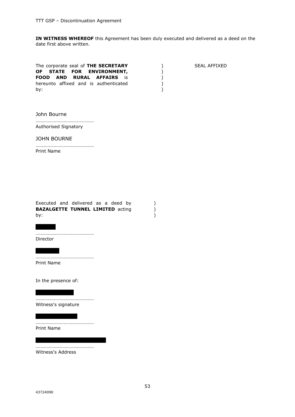**IN WITNESS WHEREOF** this Agreement has been duly executed and delivered as a deed on the date first above written.

> ) ) )

| The corporate seal of <b>THE SECRETARY</b><br>OF STATE FOR ENVIRONMENT,   | SEAL AFFIXED |
|---------------------------------------------------------------------------|--------------|
| <b>FOOD AND RURAL AFFAIRS</b> is<br>hereunto affixed and is authenticated |              |
| bv:                                                                       |              |

#### John Bourne

………………………………………… Authorised Signatory

JOHN BOURNE

………………………………………… Print Name

|     | Executed and delivered as a deed by     |  |  |  |
|-----|-----------------------------------------|--|--|--|
|     | <b>BAZALGETTE TUNNEL LIMITED acting</b> |  |  |  |
| by: |                                         |  |  |  |

| | | | | | …………………………………………

Director

| | | | | | | …………………………………………

Print Name

In the presence of:

………………………………………… Witness's signature

| | | | | | | | | | | |

| | | | | | | | | | |

………………………………………… Print Name

………………………………………… Witness's Address